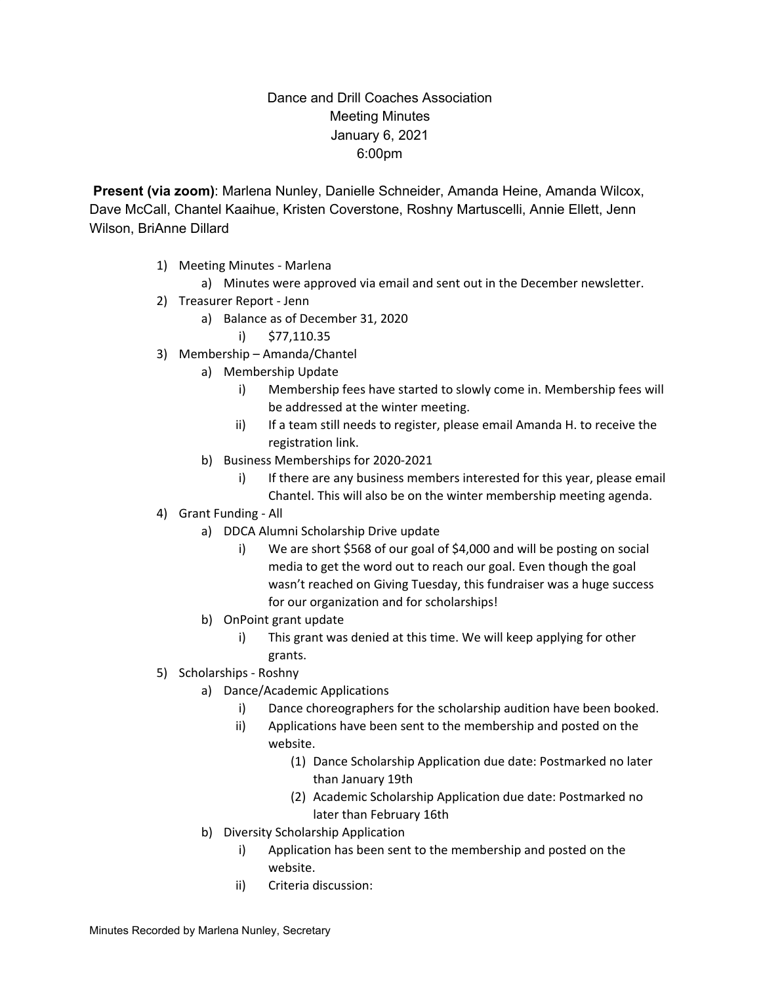## Dance and Drill Coaches Association Meeting Minutes January 6, 2021 6:00pm

**Present (via zoom)**: Marlena Nunley, Danielle Schneider, Amanda Heine, Amanda Wilcox, Dave McCall, Chantel Kaaihue, Kristen Coverstone, Roshny Martuscelli, Annie Ellett, Jenn Wilson, BriAnne Dillard

- 1) Meeting Minutes Marlena
	- a) Minutes were approved via email and sent out in the December newsletter.
- 2) Treasurer Report Jenn
	- a) Balance as of December 31, 2020
		- i) \$77,110.35
- 3) Membership Amanda/Chantel
	- a) Membership Update
		- i) Membership fees have started to slowly come in. Membership fees will be addressed at the winter meeting.
		- ii) If a team still needs to register, please email Amanda H. to receive the registration link.
	- b) Business Memberships for 2020-2021
		- i) If there are any business members interested for this year, please email Chantel. This will also be on the winter membership meeting agenda.
- 4) Grant Funding All
	- a) DDCA Alumni Scholarship Drive update
		- i) We are short \$568 of our goal of \$4,000 and will be posting on social media to get the word out to reach our goal. Even though the goal wasn't reached on Giving Tuesday, this fundraiser was a huge success for our organization and for scholarships!
	- b) OnPoint grant update
		- i) This grant was denied at this time. We will keep applying for other grants.
- 5) Scholarships Roshny
	- a) Dance/Academic Applications
		- i) Dance choreographers for the scholarship audition have been booked.
		- ii) Applications have been sent to the membership and posted on the website.
			- (1) Dance Scholarship Application due date: Postmarked no later than January 19th
			- (2) Academic Scholarship Application due date: Postmarked no later than February 16th
	- b) Diversity Scholarship Application
		- i) Application has been sent to the membership and posted on the website.
		- ii) Criteria discussion: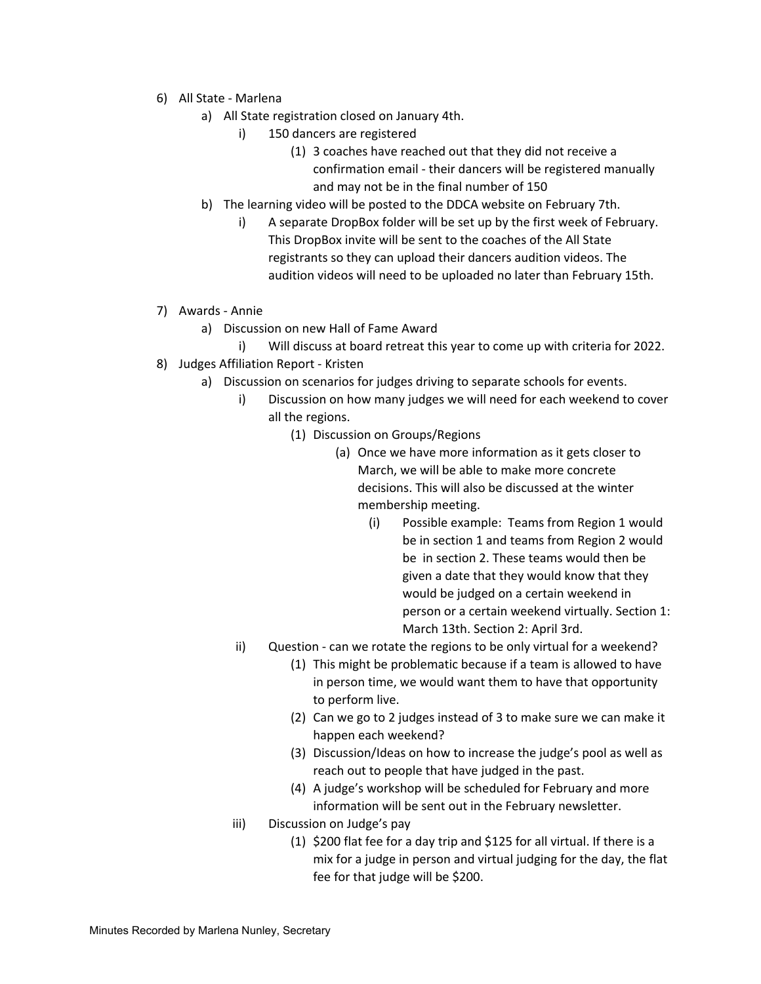- 6) All State Marlena
	- a) All State registration closed on January 4th.
		- i) 150 dancers are registered
			- (1) 3 coaches have reached out that they did not receive a confirmation email - their dancers will be registered manually and may not be in the final number of 150
	- b) The learning video will be posted to the DDCA website on February 7th.
		- i) A separate DropBox folder will be set up by the first week of February. This DropBox invite will be sent to the coaches of the All State registrants so they can upload their dancers audition videos. The audition videos will need to be uploaded no later than February 15th.
- 7) Awards Annie
	- a) Discussion on new Hall of Fame Award
	- i) Will discuss at board retreat this year to come up with criteria for 2022.
- 8) Judges Affiliation Report Kristen
	- a) Discussion on scenarios for judges driving to separate schools for events.
		- i) Discussion on how many judges we will need for each weekend to cover all the regions.
			- (1) Discussion on Groups/Regions
				- (a) Once we have more information as it gets closer to March, we will be able to make more concrete decisions. This will also be discussed at the winter membership meeting.
					- (i) Possible example: Teams from Region 1 would be in section 1 and teams from Region 2 would be in section 2. These teams would then be given a date that they would know that they would be judged on a certain weekend in person or a certain weekend virtually. Section 1: March 13th. Section 2: April 3rd.
		- ii) Question can we rotate the regions to be only virtual for a weekend?
			- (1) This might be problematic because if a team is allowed to have in person time, we would want them to have that opportunity to perform live.
			- (2) Can we go to 2 judges instead of 3 to make sure we can make it happen each weekend?
			- (3) Discussion/Ideas on how to increase the judge's pool as well as reach out to people that have judged in the past.
			- (4) A judge's workshop will be scheduled for February and more information will be sent out in the February newsletter.
		- iii) Discussion on Judge's pay
			- (1) \$200 flat fee for a day trip and \$125 for all virtual. If there is a mix for a judge in person and virtual judging for the day, the flat fee for that judge will be \$200.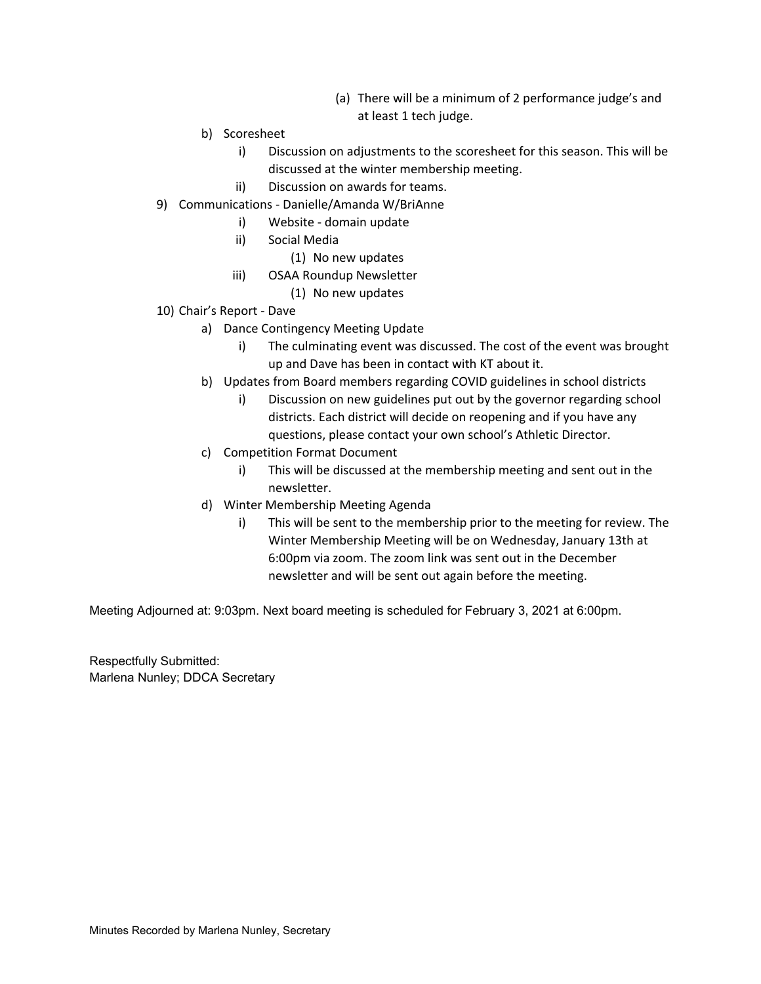- (a) There will be a minimum of 2 performance judge's and at least 1 tech judge.
- b) Scoresheet
	- i) Discussion on adjustments to the scoresheet for this season. This will be discussed at the winter membership meeting.
	- ii) Discussion on awards for teams.
- 9) Communications Danielle/Amanda W/BriAnne
	- i) Website domain update
	- ii) Social Media
		- (1) No new updates
	- iii) OSAA Roundup Newsletter
		- (1) No new updates
- 10) Chair's Report Dave
	- a) Dance Contingency Meeting Update
		- i) The culminating event was discussed. The cost of the event was brought up and Dave has been in contact with KT about it.
	- b) Updates from Board members regarding COVID guidelines in school districts
		- i) Discussion on new guidelines put out by the governor regarding school districts. Each district will decide on reopening and if you have any questions, please contact your own school's Athletic Director.
	- c) Competition Format Document
		- i) This will be discussed at the membership meeting and sent out in the newsletter.
	- d) Winter Membership Meeting Agenda
		- i) This will be sent to the membership prior to the meeting for review. The Winter Membership Meeting will be on Wednesday, January 13th at 6:00pm via zoom. The zoom link was sent out in the December newsletter and will be sent out again before the meeting.

Meeting Adjourned at: 9:03pm. Next board meeting is scheduled for February 3, 2021 at 6:00pm.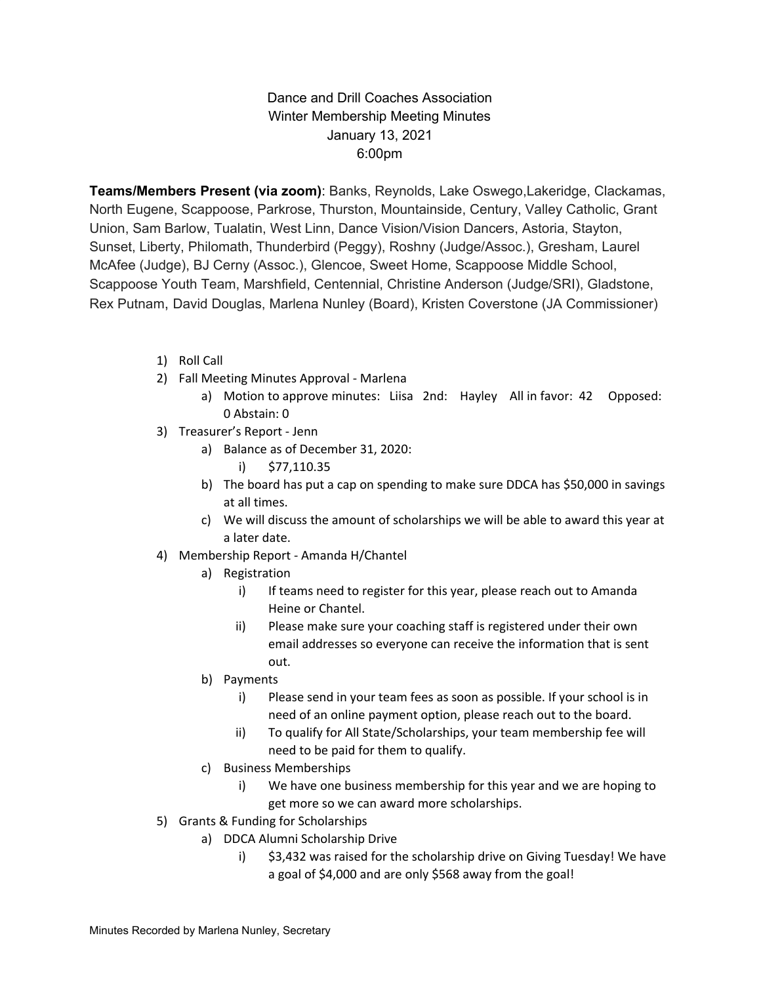### Dance and Drill Coaches Association Winter Membership Meeting Minutes January 13, 2021 6:00pm

**Teams/Members Present (via zoom)**: Banks, Reynolds, Lake Oswego,Lakeridge, Clackamas, North Eugene, Scappoose, Parkrose, Thurston, Mountainside, Century, Valley Catholic, Grant Union, Sam Barlow, Tualatin, West Linn, Dance Vision/Vision Dancers, Astoria, Stayton, Sunset, Liberty, Philomath, Thunderbird (Peggy), Roshny (Judge/Assoc.), Gresham, Laurel McAfee (Judge), BJ Cerny (Assoc.), Glencoe, Sweet Home, Scappoose Middle School, Scappoose Youth Team, Marshfield, Centennial, Christine Anderson (Judge/SRI), Gladstone, Rex Putnam, David Douglas, Marlena Nunley (Board), Kristen Coverstone (JA Commissioner)

- 1) Roll Call
- 2) Fall Meeting Minutes Approval Marlena
	- a) Motion to approve minutes: Liisa 2nd: Hayley All in favor: 42 Opposed: 0 Abstain: 0
- 3) Treasurer's Report Jenn
	- a) Balance as of December 31, 2020: i) \$77,110.35
	- b) The board has put a cap on spending to make sure DDCA has \$50,000 in savings at all times.
	- c) We will discuss the amount of scholarships we will be able to award this year at a later date.
- 4) Membership Report Amanda H/Chantel
	- a) Registration
		- i) If teams need to register for this year, please reach out to Amanda Heine or Chantel.
		- ii) Please make sure your coaching staff is registered under their own email addresses so everyone can receive the information that is sent out.
	- b) Payments
		- i) Please send in your team fees as soon as possible. If your school is in need of an online payment option, please reach out to the board.
		- ii) To qualify for All State/Scholarships, your team membership fee will need to be paid for them to qualify.
	- c) Business Memberships
		- i) We have one business membership for this year and we are hoping to get more so we can award more scholarships.
- 5) Grants & Funding for Scholarships
	- a) DDCA Alumni Scholarship Drive
		- i) \$3,432 was raised for the scholarship drive on Giving Tuesday! We have a goal of \$4,000 and are only \$568 away from the goal!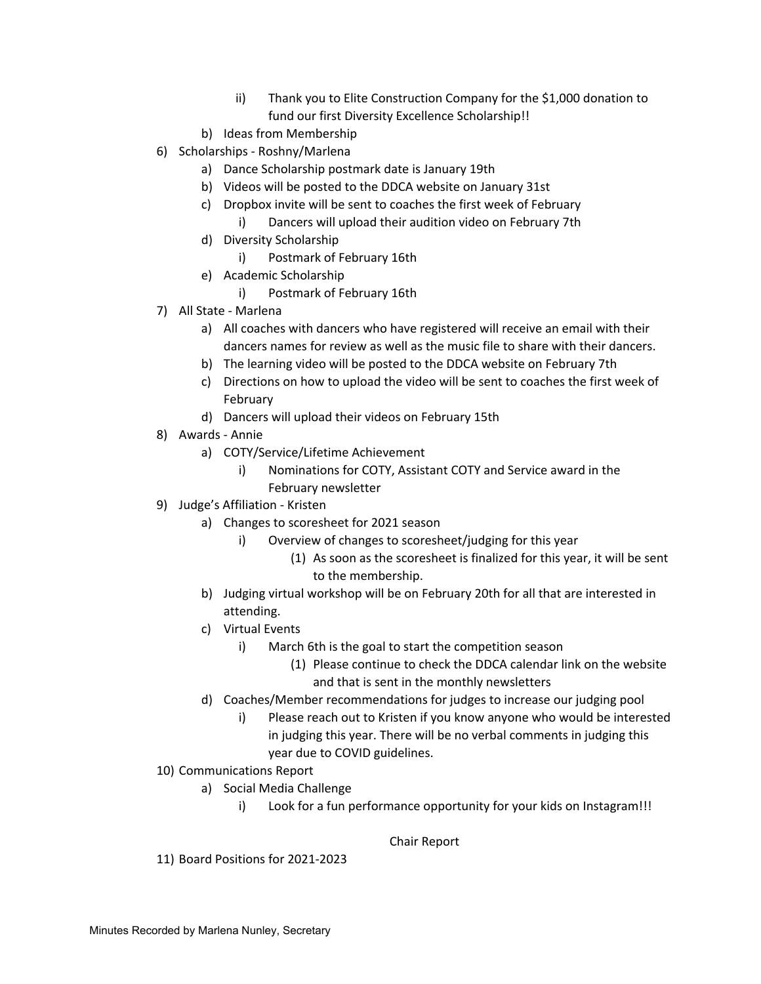- ii) Thank you to Elite Construction Company for the \$1,000 donation to fund our first Diversity Excellence Scholarship!!
- b) Ideas from Membership
- 6) Scholarships Roshny/Marlena
	- a) Dance Scholarship postmark date is January 19th
	- b) Videos will be posted to the DDCA website on January 31st
	- c) Dropbox invite will be sent to coaches the first week of February i) Dancers will upload their audition video on February 7th
	- d) Diversity Scholarship
		- i) Postmark of February 16th
	- e) Academic Scholarship
		- i) Postmark of February 16th
- 7) All State Marlena
	- a) All coaches with dancers who have registered will receive an email with their dancers names for review as well as the music file to share with their dancers.
	- b) The learning video will be posted to the DDCA website on February 7th
	- c) Directions on how to upload the video will be sent to coaches the first week of February
	- d) Dancers will upload their videos on February 15th
- 8) Awards Annie
	- a) COTY/Service/Lifetime Achievement
		- i) Nominations for COTY, Assistant COTY and Service award in the February newsletter
- 9) Judge's Affiliation Kristen
	- a) Changes to scoresheet for 2021 season
		- i) Overview of changes to scoresheet/judging for this year
			- (1) As soon as the scoresheet is finalized for this year, it will be sent to the membership.
	- b) Judging virtual workshop will be on February 20th for all that are interested in attending.
	- c) Virtual Events
		- i) March 6th is the goal to start the competition season
			- (1) Please continue to check the DDCA calendar link on the website and that is sent in the monthly newsletters
	- d) Coaches/Member recommendations for judges to increase our judging pool
		- i) Please reach out to Kristen if you know anyone who would be interested in judging this year. There will be no verbal comments in judging this year due to COVID guidelines.
- 10) Communications Report
	- a) Social Media Challenge
		- i) Look for a fun performance opportunity for your kids on Instagram!!!

Chair Report

11) Board Positions for 2021-2023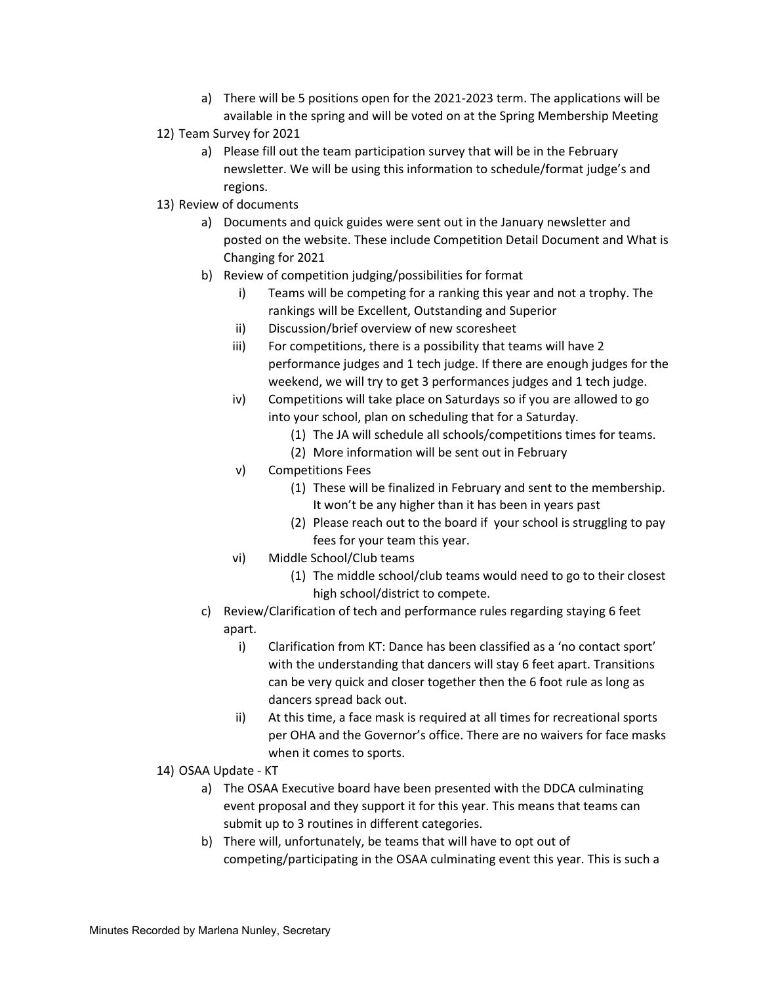- a) There will be 5 positions open for the 2021-2023 term. The applications will be available in the spring and will be voted on at the Spring Membership Meeting
- 12) Team Survey for 2021
	- a) Please fill out the team participation survey that will be in the February newsletter. We will be using this information to schedule/format judge's and regions.
- 13) Review of documents
	- a) Documents and quick guides were sent out in the January newsletter and posted on the website. These include Competition Detail Document and What is Changing for 2021
	- b) Review of competition judging/possibilities for format
		- i) Teams will be competing for a ranking this year and not a trophy. The rankings will be Excellent, Outstanding and Superior
		- ii) Discussion/brief overview of new scoresheet
		- iii) For competitions, there is a possibility that teams will have 2 performance judges and 1 tech judge. If there are enough judges for the weekend, we will try to get 3 performances judges and 1 tech judge.
		- iv) Competitions will take place on Saturdays so if you are allowed to go into your school, plan on scheduling that for a Saturday.
			- (1) The JA will schedule all schools/competitions times for teams.
			- (2) More information will be sent out in February
		- v) Competitions Fees
			- (1) These will be finalized in February and sent to the membership. It won't be any higher than it has been in years past
			- (2) Please reach out to the board if your school is struggling to pay fees for your team this year.
		- vi) Middle School/Club teams
			- (1) The middle school/club teams would need to go to their closest high school/district to compete.
	- c) Review/Clarification of tech and performance rules regarding staying 6 feet apart.
		- i) Clarification from KT: Dance has been classified as a 'no contact sport' with the understanding that dancers will stay 6 feet apart. Transitions can be very quick and closer together then the 6 foot rule as long as dancers spread back out.
		- ii) At this time, a face mask is required at all times for recreational sports per OHA and the Governor's office. There are no waivers for face masks when it comes to sports.
- 14) OSAA Update KT
	- a) The OSAA Executive board have been presented with the DDCA culminating event proposal and they support it for this year. This means that teams can submit up to 3 routines in different categories.
	- b) There will, unfortunately, be teams that will have to opt out of competing/participating in the OSAA culminating event this year. This is such a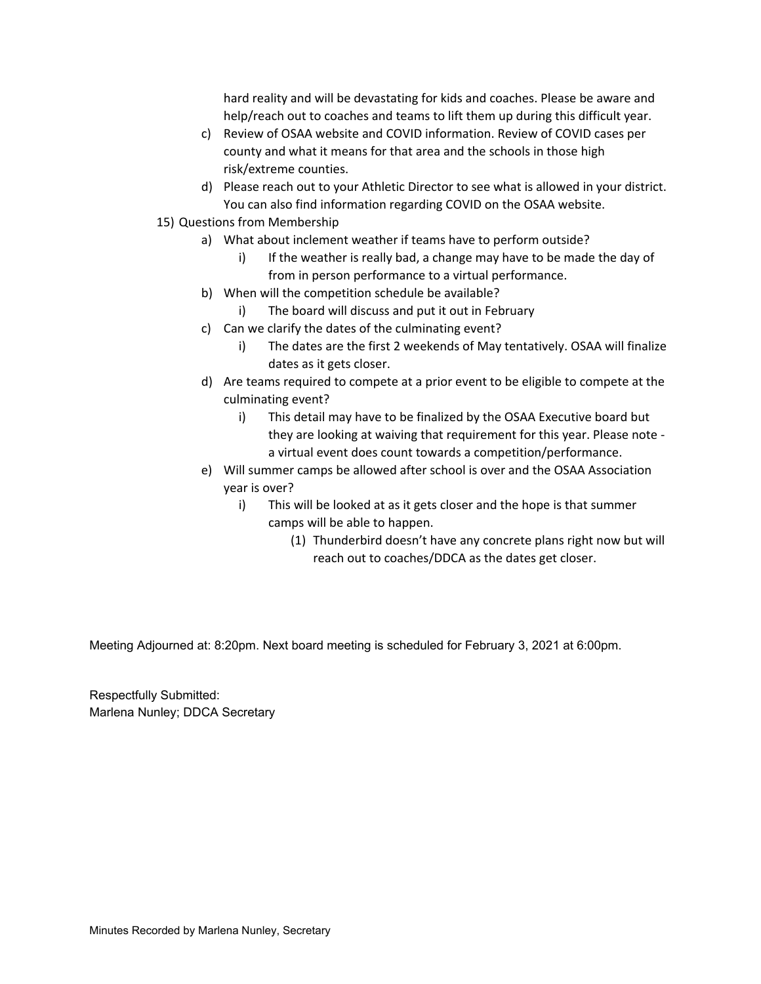hard reality and will be devastating for kids and coaches. Please be aware and help/reach out to coaches and teams to lift them up during this difficult year.

- c) Review of OSAA website and COVID information. Review of COVID cases per county and what it means for that area and the schools in those high risk/extreme counties.
- d) Please reach out to your Athletic Director to see what is allowed in your district. You can also find information regarding COVID on the OSAA website.
- 15) Questions from Membership
	- a) What about inclement weather if teams have to perform outside?
		- i) If the weather is really bad, a change may have to be made the day of from in person performance to a virtual performance.
	- b) When will the competition schedule be available?
		- i) The board will discuss and put it out in February
	- c) Can we clarify the dates of the culminating event?
		- i) The dates are the first 2 weekends of May tentatively. OSAA will finalize dates as it gets closer.
	- d) Are teams required to compete at a prior event to be eligible to compete at the culminating event?
		- i) This detail may have to be finalized by the OSAA Executive board but they are looking at waiving that requirement for this year. Please note a virtual event does count towards a competition/performance.
	- e) Will summer camps be allowed after school is over and the OSAA Association year is over?
		- i) This will be looked at as it gets closer and the hope is that summer camps will be able to happen.
			- (1) Thunderbird doesn't have any concrete plans right now but will reach out to coaches/DDCA as the dates get closer.

Meeting Adjourned at: 8:20pm. Next board meeting is scheduled for February 3, 2021 at 6:00pm.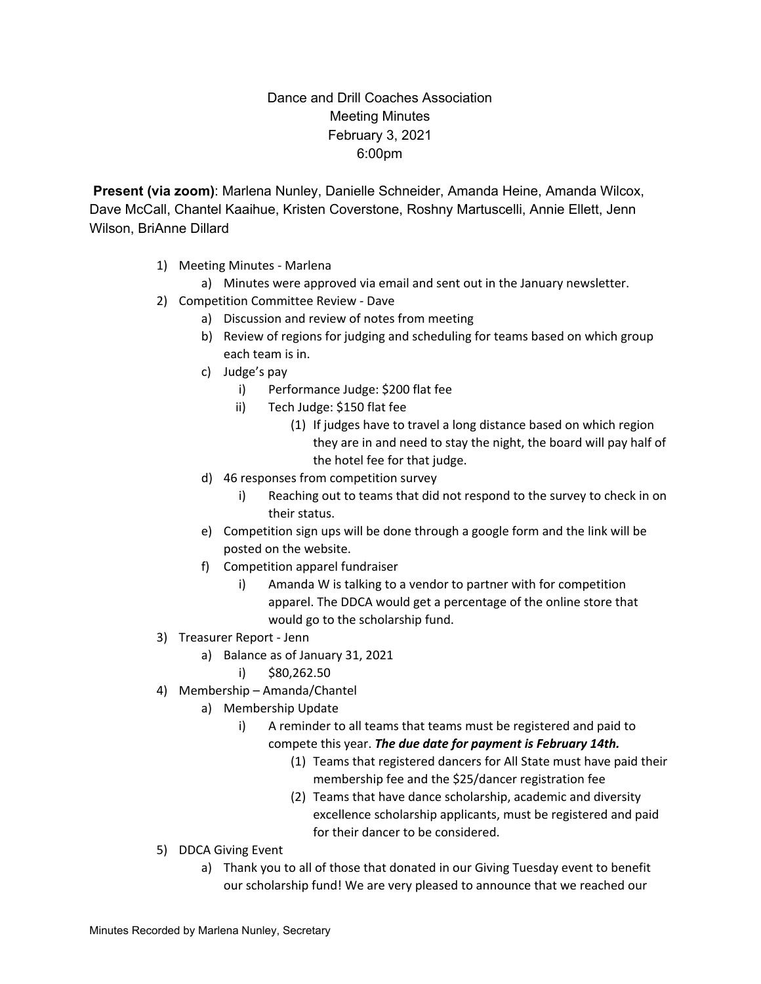## Dance and Drill Coaches Association Meeting Minutes February 3, 2021 6:00pm

**Present (via zoom)**: Marlena Nunley, Danielle Schneider, Amanda Heine, Amanda Wilcox, Dave McCall, Chantel Kaaihue, Kristen Coverstone, Roshny Martuscelli, Annie Ellett, Jenn Wilson, BriAnne Dillard

- 1) Meeting Minutes Marlena
	- a) Minutes were approved via email and sent out in the January newsletter.
- 2) Competition Committee Review Dave
	- a) Discussion and review of notes from meeting
	- b) Review of regions for judging and scheduling for teams based on which group each team is in.
	- c) Judge's pay
		- i) Performance Judge: \$200 flat fee
		- ii) Tech Judge: \$150 flat fee
			- (1) If judges have to travel a long distance based on which region they are in and need to stay the night, the board will pay half of the hotel fee for that judge.
	- d) 46 responses from competition survey
		- i) Reaching out to teams that did not respond to the survey to check in on their status.
	- e) Competition sign ups will be done through a google form and the link will be posted on the website.
	- f) Competition apparel fundraiser
		- i) Amanda W is talking to a vendor to partner with for competition apparel. The DDCA would get a percentage of the online store that would go to the scholarship fund.
- 3) Treasurer Report Jenn
	- a) Balance as of January 31, 2021
		- i) \$80,262.50
- 4) Membership Amanda/Chantel
	- a) Membership Update
		- i) A reminder to all teams that teams must be registered and paid to compete this year. *The due date for payment is February 14th.*
			- (1) Teams that registered dancers for All State must have paid their membership fee and the \$25/dancer registration fee
			- (2) Teams that have dance scholarship, academic and diversity excellence scholarship applicants, must be registered and paid for their dancer to be considered.
- 5) DDCA Giving Event
	- a) Thank you to all of those that donated in our Giving Tuesday event to benefit our scholarship fund! We are very pleased to announce that we reached our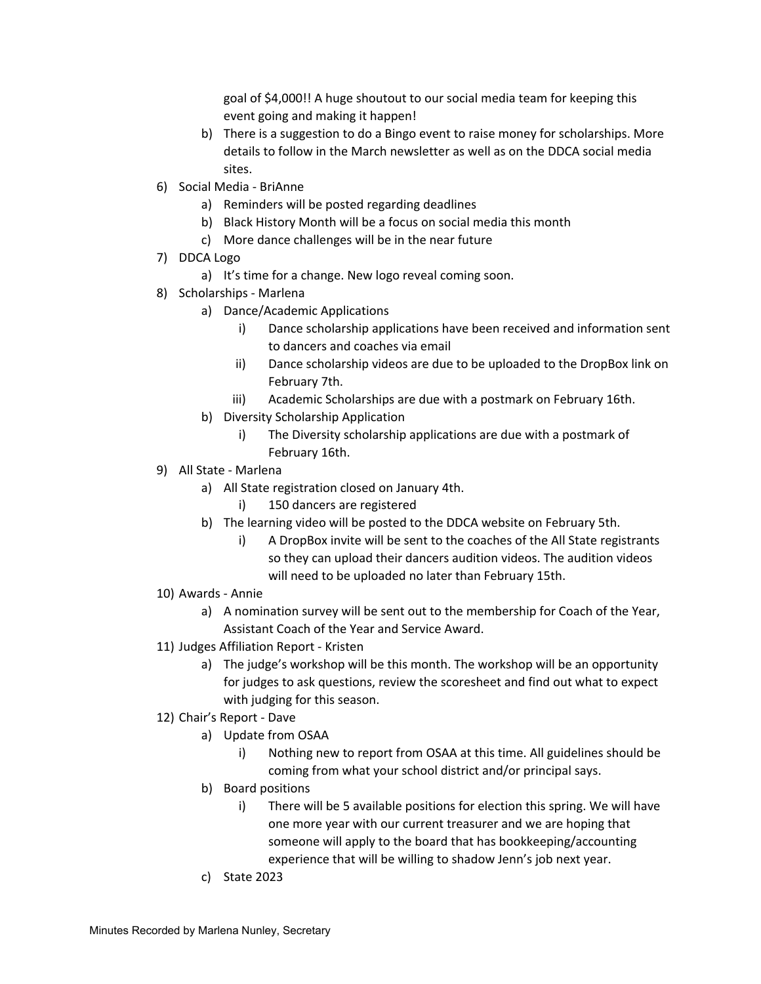goal of \$4,000!! A huge shoutout to our social media team for keeping this event going and making it happen!

- b) There is a suggestion to do a Bingo event to raise money for scholarships. More details to follow in the March newsletter as well as on the DDCA social media sites.
- 6) Social Media BriAnne
	- a) Reminders will be posted regarding deadlines
	- b) Black History Month will be a focus on social media this month
	- c) More dance challenges will be in the near future
- 7) DDCA Logo
	- a) It's time for a change. New logo reveal coming soon.
- 8) Scholarships Marlena
	- a) Dance/Academic Applications
		- i) Dance scholarship applications have been received and information sent to dancers and coaches via email
		- ii) Dance scholarship videos are due to be uploaded to the DropBox link on February 7th.
		- iii) Academic Scholarships are due with a postmark on February 16th.
	- b) Diversity Scholarship Application
		- i) The Diversity scholarship applications are due with a postmark of February 16th.
- 9) All State Marlena
	- a) All State registration closed on January 4th.
		- i) 150 dancers are registered
		- b) The learning video will be posted to the DDCA website on February 5th.
			- i) A DropBox invite will be sent to the coaches of the All State registrants so they can upload their dancers audition videos. The audition videos will need to be uploaded no later than February 15th.
- 10) Awards Annie
	- a) A nomination survey will be sent out to the membership for Coach of the Year, Assistant Coach of the Year and Service Award.
- 11) Judges Affiliation Report Kristen
	- a) The judge's workshop will be this month. The workshop will be an opportunity for judges to ask questions, review the scoresheet and find out what to expect with judging for this season.
- 12) Chair's Report Dave
	- a) Update from OSAA
		- i) Nothing new to report from OSAA at this time. All guidelines should be coming from what your school district and/or principal says.
	- b) Board positions
		- i) There will be 5 available positions for election this spring. We will have one more year with our current treasurer and we are hoping that someone will apply to the board that has bookkeeping/accounting experience that will be willing to shadow Jenn's job next year.
	- c) State 2023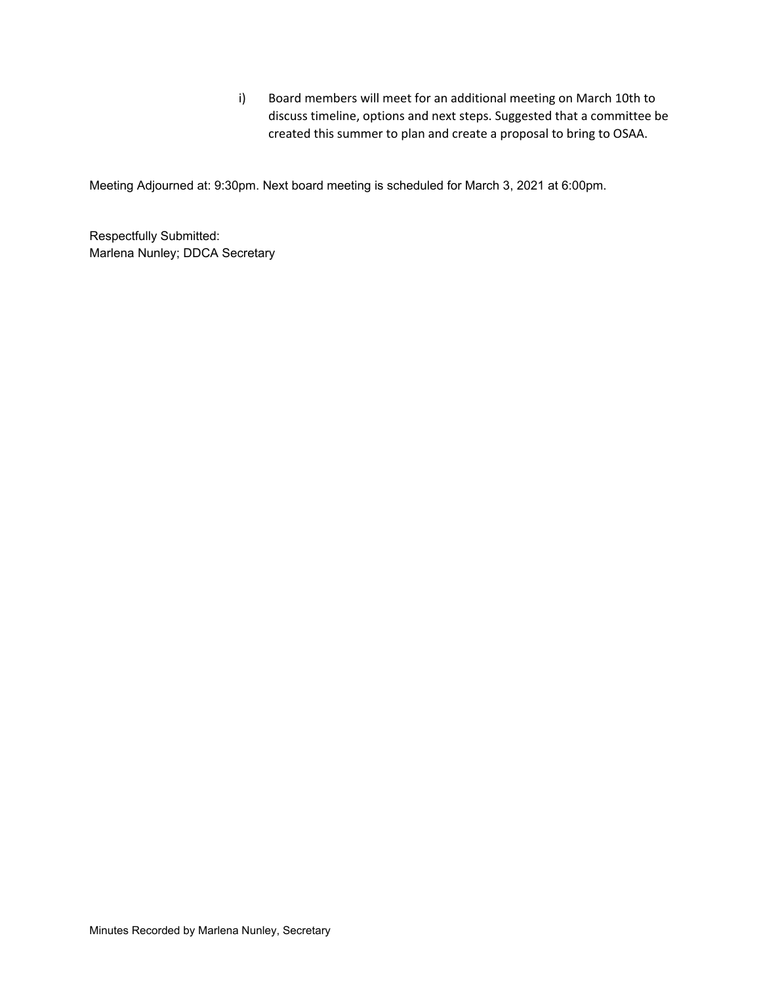i) Board members will meet for an additional meeting on March 10th to discuss timeline, options and next steps. Suggested that a committee be created this summer to plan and create a proposal to bring to OSAA.

Meeting Adjourned at: 9:30pm. Next board meeting is scheduled for March 3, 2021 at 6:00pm.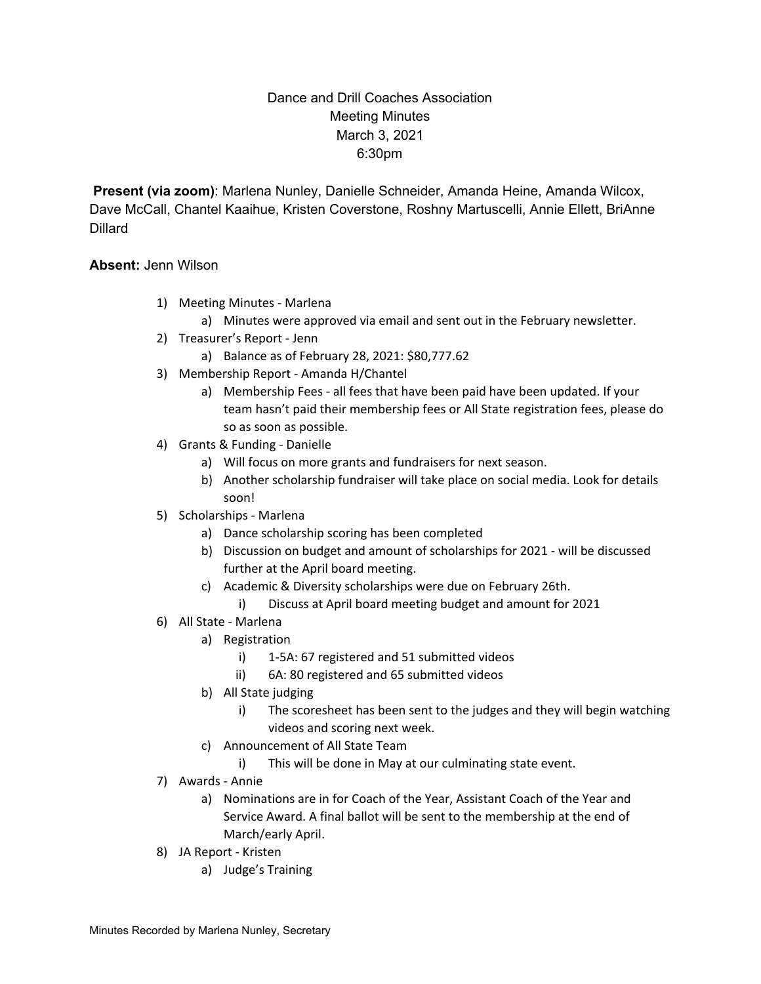## Dance and Drill Coaches Association Meeting Minutes March 3, 2021 6:30pm

**Present (via zoom)**: Marlena Nunley, Danielle Schneider, Amanda Heine, Amanda Wilcox, Dave McCall, Chantel Kaaihue, Kristen Coverstone, Roshny Martuscelli, Annie Ellett, BriAnne **Dillard** 

#### **Absent:** Jenn Wilson

- 1) Meeting Minutes Marlena
	- a) Minutes were approved via email and sent out in the February newsletter.
- 2) Treasurer's Report Jenn
	- a) Balance as of February 28, 2021: \$80,777.62
- 3) Membership Report Amanda H/Chantel
	- a) Membership Fees all fees that have been paid have been updated. If your team hasn't paid their membership fees or All State registration fees, please do so as soon as possible.
- 4) Grants & Funding Danielle
	- a) Will focus on more grants and fundraisers for next season.
	- b) Another scholarship fundraiser will take place on social media. Look for details soon!
- 5) Scholarships Marlena
	- a) Dance scholarship scoring has been completed
	- b) Discussion on budget and amount of scholarships for 2021 will be discussed further at the April board meeting.
	- c) Academic & Diversity scholarships were due on February 26th.
		- i) Discuss at April board meeting budget and amount for 2021
- 6) All State Marlena
	- a) Registration
		- i) 1-5A: 67 registered and 51 submitted videos
		- ii) 6A: 80 registered and 65 submitted videos
	- b) All State judging
		- i) The scoresheet has been sent to the judges and they will begin watching videos and scoring next week.
	- c) Announcement of All State Team
		- i) This will be done in May at our culminating state event.
- 7) Awards Annie
	- a) Nominations are in for Coach of the Year, Assistant Coach of the Year and Service Award. A final ballot will be sent to the membership at the end of March/early April.
- 8) JA Report Kristen
	- a) Judge's Training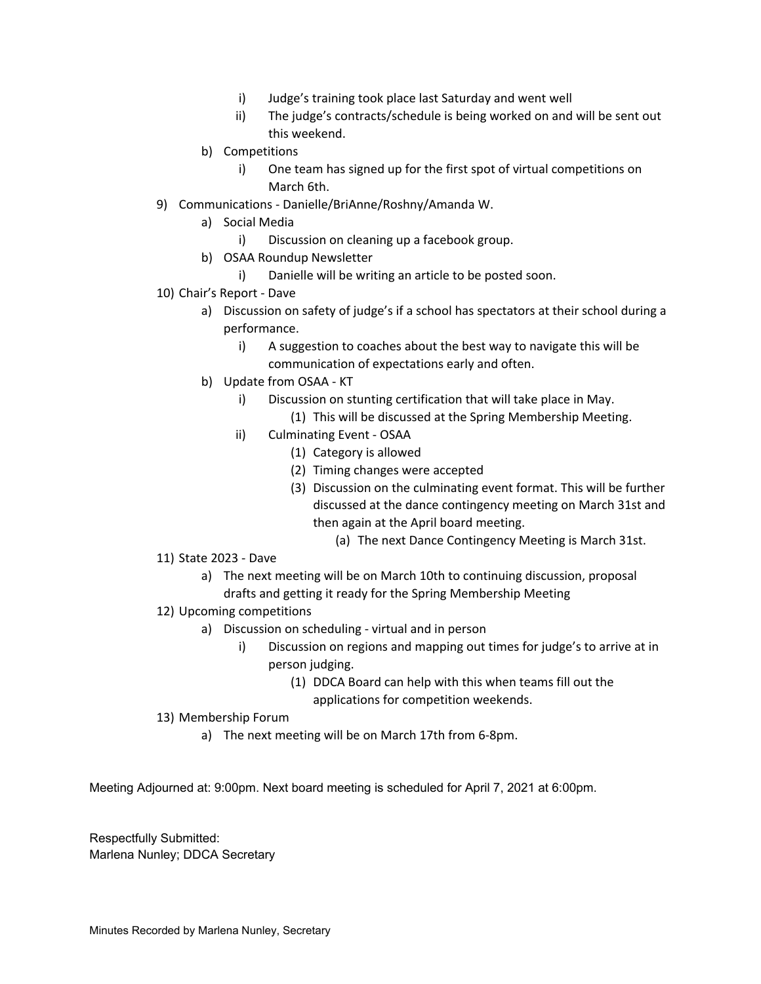- i) Judge's training took place last Saturday and went well
- ii) The judge's contracts/schedule is being worked on and will be sent out this weekend.
- b) Competitions
	- i) One team has signed up for the first spot of virtual competitions on March 6th.
- 9) Communications Danielle/BriAnne/Roshny/Amanda W.
	- a) Social Media
		- i) Discussion on cleaning up a facebook group.
	- b) OSAA Roundup Newsletter
		- i) Danielle will be writing an article to be posted soon.
- 10) Chair's Report Dave
	- a) Discussion on safety of judge's if a school has spectators at their school during a performance.
		- i) A suggestion to coaches about the best way to navigate this will be communication of expectations early and often.
	- b) Update from OSAA KT
		- i) Discussion on stunting certification that will take place in May.
			- (1) This will be discussed at the Spring Membership Meeting.
		- ii) Culminating Event OSAA
			- (1) Category is allowed
			- (2) Timing changes were accepted
			- (3) Discussion on the culminating event format. This will be further discussed at the dance contingency meeting on March 31st and then again at the April board meeting.
				- (a) The next Dance Contingency Meeting is March 31st.
- 11) State 2023 Dave
	- a) The next meeting will be on March 10th to continuing discussion, proposal drafts and getting it ready for the Spring Membership Meeting
- 12) Upcoming competitions
	- a) Discussion on scheduling virtual and in person
		- i) Discussion on regions and mapping out times for judge's to arrive at in person judging.
			- (1) DDCA Board can help with this when teams fill out the applications for competition weekends.
- 13) Membership Forum
	- a) The next meeting will be on March 17th from 6-8pm.

Meeting Adjourned at: 9:00pm. Next board meeting is scheduled for April 7, 2021 at 6:00pm.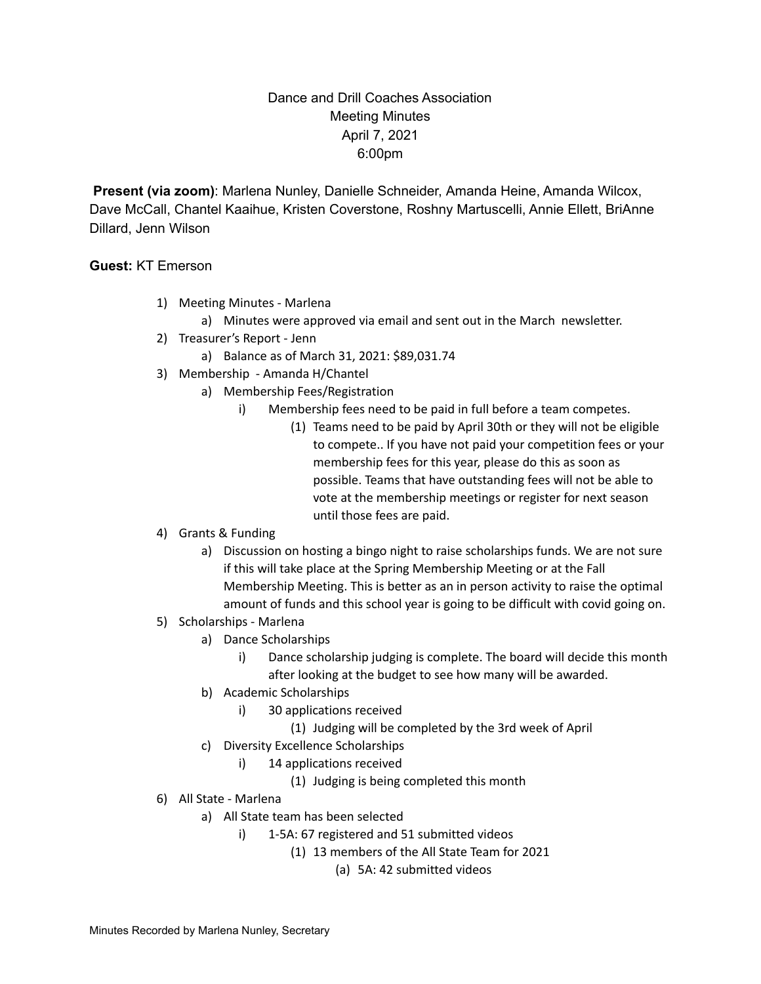## Dance and Drill Coaches Association Meeting Minutes April 7, 2021 6:00pm

**Present (via zoom)**: Marlena Nunley, Danielle Schneider, Amanda Heine, Amanda Wilcox, Dave McCall, Chantel Kaaihue, Kristen Coverstone, Roshny Martuscelli, Annie Ellett, BriAnne Dillard, Jenn Wilson

#### **Guest:** KT Emerson

- 1) Meeting Minutes Marlena
	- a) Minutes were approved via email and sent out in the March newsletter.
- 2) Treasurer's Report Jenn
	- a) Balance as of March 31, 2021: \$89,031.74
- 3) Membership Amanda H/Chantel
	- a) Membership Fees/Registration
		- i) Membership fees need to be paid in full before a team competes.
			- (1) Teams need to be paid by April 30th or they will not be eligible to compete.. If you have not paid your competition fees or your membership fees for this year, please do this as soon as possible. Teams that have outstanding fees will not be able to vote at the membership meetings or register for next season until those fees are paid.
- 4) Grants & Funding
	- a) Discussion on hosting a bingo night to raise scholarships funds. We are not sure if this will take place at the Spring Membership Meeting or at the Fall Membership Meeting. This is better as an in person activity to raise the optimal amount of funds and this school year is going to be difficult with covid going on.
- 5) Scholarships Marlena
	- a) Dance Scholarships
		- i) Dance scholarship judging is complete. The board will decide this month after looking at the budget to see how many will be awarded.
	- b) Academic Scholarships
		- i) 30 applications received
			- (1) Judging will be completed by the 3rd week of April
	- c) Diversity Excellence Scholarships
		- i) 14 applications received
			- (1) Judging is being completed this month
- 6) All State Marlena
	- a) All State team has been selected
		- i) 1-5A: 67 registered and 51 submitted videos
			- (1) 13 members of the All State Team for 2021
				- (a) 5A: 42 submitted videos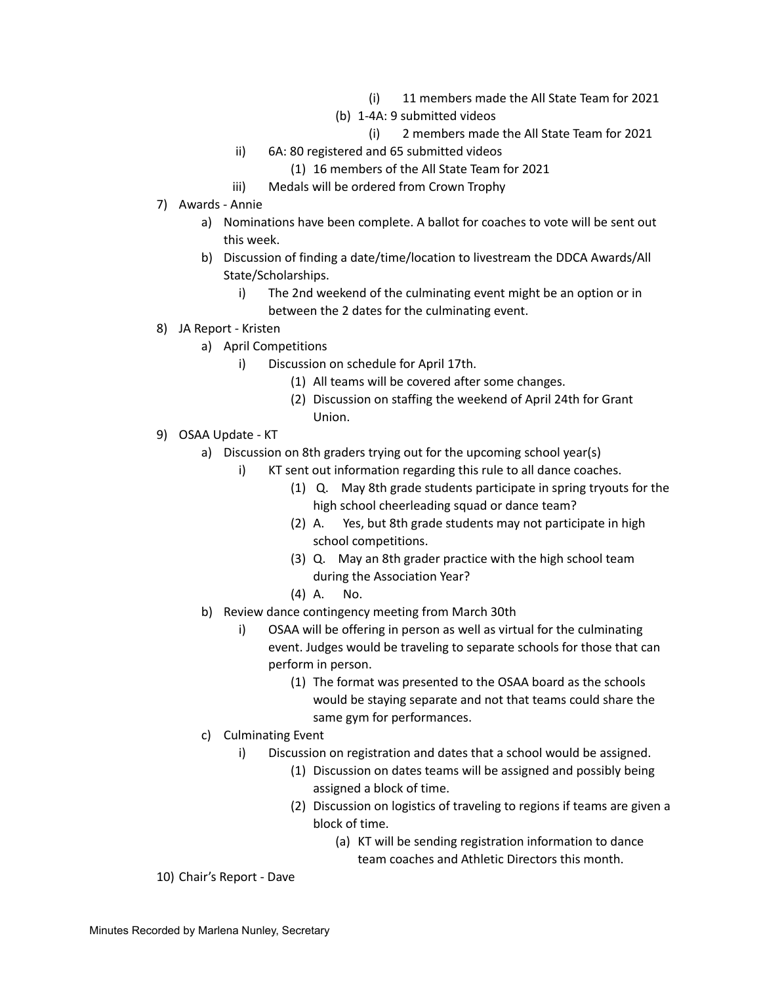- (i) 11 members made the All State Team for 2021
- (b) 1-4A: 9 submitted videos
	- (i) 2 members made the All State Team for 2021
- ii) 6A: 80 registered and 65 submitted videos
	- (1) 16 members of the All State Team for 2021
- iii) Medals will be ordered from Crown Trophy
- 7) Awards Annie
	- a) Nominations have been complete. A ballot for coaches to vote will be sent out this week.
	- b) Discussion of finding a date/time/location to livestream the DDCA Awards/All State/Scholarships.
		- i) The 2nd weekend of the culminating event might be an option or in between the 2 dates for the culminating event.
- 8) JA Report Kristen
	- a) April Competitions
		- i) Discussion on schedule for April 17th.
			- (1) All teams will be covered after some changes.
			- (2) Discussion on staffing the weekend of April 24th for Grant Union.
- 9) OSAA Update KT
	- a) Discussion on 8th graders trying out for the upcoming school year(s)
		- i) KT sent out information regarding this rule to all dance coaches.
			- (1) Q. May 8th grade students participate in spring tryouts for the high school cheerleading squad or dance team?
			- (2) A. Yes, but 8th grade students may not participate in high school competitions.
			- (3) Q. May an 8th grader practice with the high school team during the Association Year?
			- (4) A. No.
	- b) Review dance contingency meeting from March 30th
		- i) OSAA will be offering in person as well as virtual for the culminating event. Judges would be traveling to separate schools for those that can perform in person.
			- (1) The format was presented to the OSAA board as the schools would be staying separate and not that teams could share the same gym for performances.
	- c) Culminating Event
		- i) Discussion on registration and dates that a school would be assigned.
			- (1) Discussion on dates teams will be assigned and possibly being assigned a block of time.
			- (2) Discussion on logistics of traveling to regions if teams are given a block of time.
				- (a) KT will be sending registration information to dance team coaches and Athletic Directors this month.

10) Chair's Report - Dave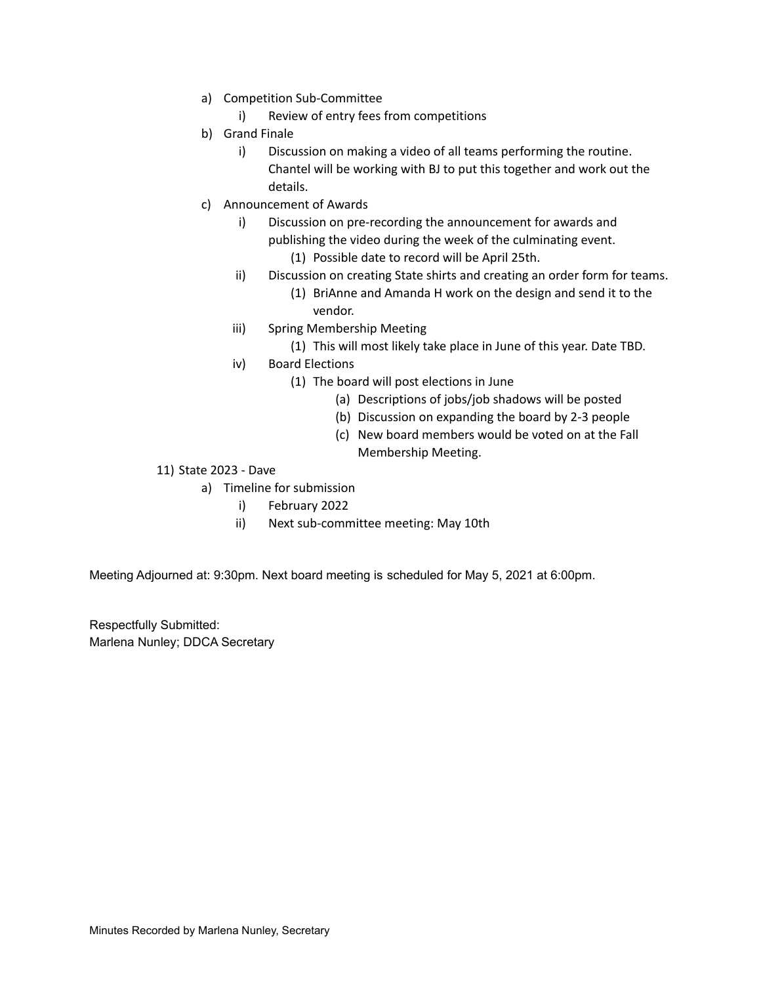- a) Competition Sub-Committee
	- i) Review of entry fees from competitions
- b) Grand Finale
	- i) Discussion on making a video of all teams performing the routine. Chantel will be working with BJ to put this together and work out the details.
- c) Announcement of Awards
	- i) Discussion on pre-recording the announcement for awards and publishing the video during the week of the culminating event.
		- (1) Possible date to record will be April 25th.
	- ii) Discussion on creating State shirts and creating an order form for teams.
		- (1) BriAnne and Amanda H work on the design and send it to the vendor.
	- iii) Spring Membership Meeting
		- (1) This will most likely take place in June of this year. Date TBD.
	- iv) Board Elections
		- (1) The board will post elections in June
			- (a) Descriptions of jobs/job shadows will be posted
			- (b) Discussion on expanding the board by 2-3 people
			- (c) New board members would be voted on at the Fall Membership Meeting.
- 11) State 2023 Dave
	- a) Timeline for submission
		- i) February 2022
		- ii) Next sub-committee meeting: May 10th

Meeting Adjourned at: 9:30pm. Next board meeting is scheduled for May 5, 2021 at 6:00pm.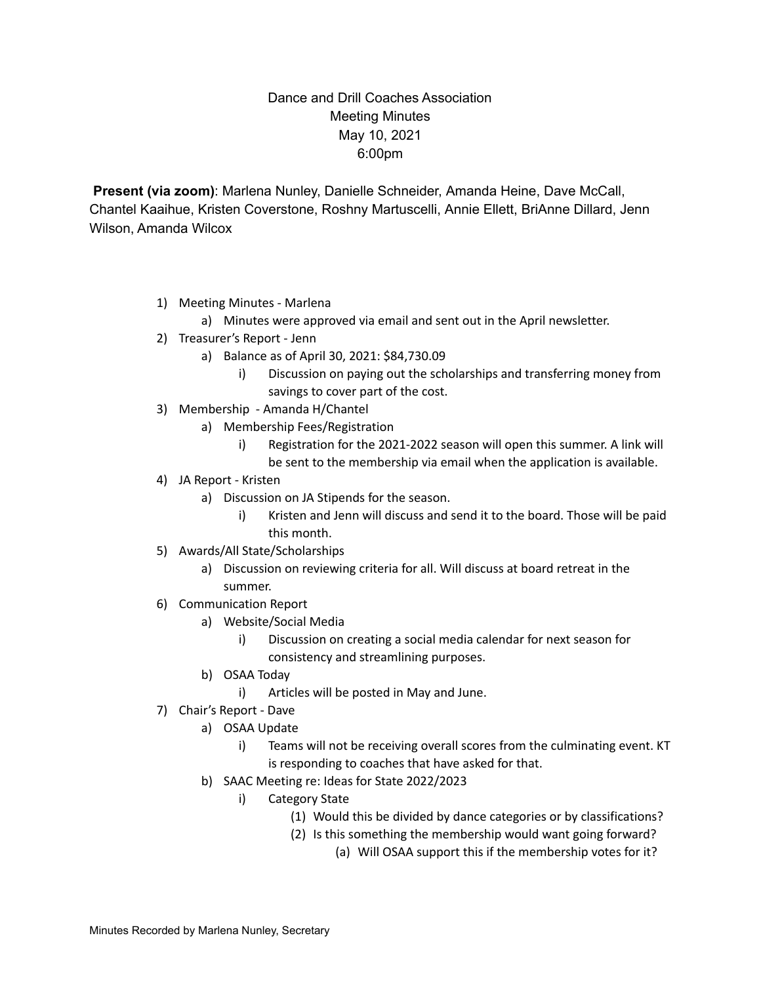## Dance and Drill Coaches Association Meeting Minutes May 10, 2021 6:00pm

**Present (via zoom)**: Marlena Nunley, Danielle Schneider, Amanda Heine, Dave McCall, Chantel Kaaihue, Kristen Coverstone, Roshny Martuscelli, Annie Ellett, BriAnne Dillard, Jenn Wilson, Amanda Wilcox

- 1) Meeting Minutes Marlena
	- a) Minutes were approved via email and sent out in the April newsletter.
- 2) Treasurer's Report Jenn
	- a) Balance as of April 30, 2021: \$84,730.09
		- i) Discussion on paying out the scholarships and transferring money from savings to cover part of the cost.
- 3) Membership Amanda H/Chantel
	- a) Membership Fees/Registration
		- i) Registration for the 2021-2022 season will open this summer. A link will be sent to the membership via email when the application is available.
- 4) JA Report Kristen
	- a) Discussion on JA Stipends for the season.
		- i) Kristen and Jenn will discuss and send it to the board. Those will be paid this month.
- 5) Awards/All State/Scholarships
	- a) Discussion on reviewing criteria for all. Will discuss at board retreat in the summer.
- 6) Communication Report
	- a) Website/Social Media
		- i) Discussion on creating a social media calendar for next season for consistency and streamlining purposes.
	- b) OSAA Today
		- i) Articles will be posted in May and June.
- 7) Chair's Report Dave
	- a) OSAA Update
		- i) Teams will not be receiving overall scores from the culminating event. KT is responding to coaches that have asked for that.
	- b) SAAC Meeting re: Ideas for State 2022/2023
		- i) Category State
			- (1) Would this be divided by dance categories or by classifications?
			- (2) Is this something the membership would want going forward?
				- (a) Will OSAA support this if the membership votes for it?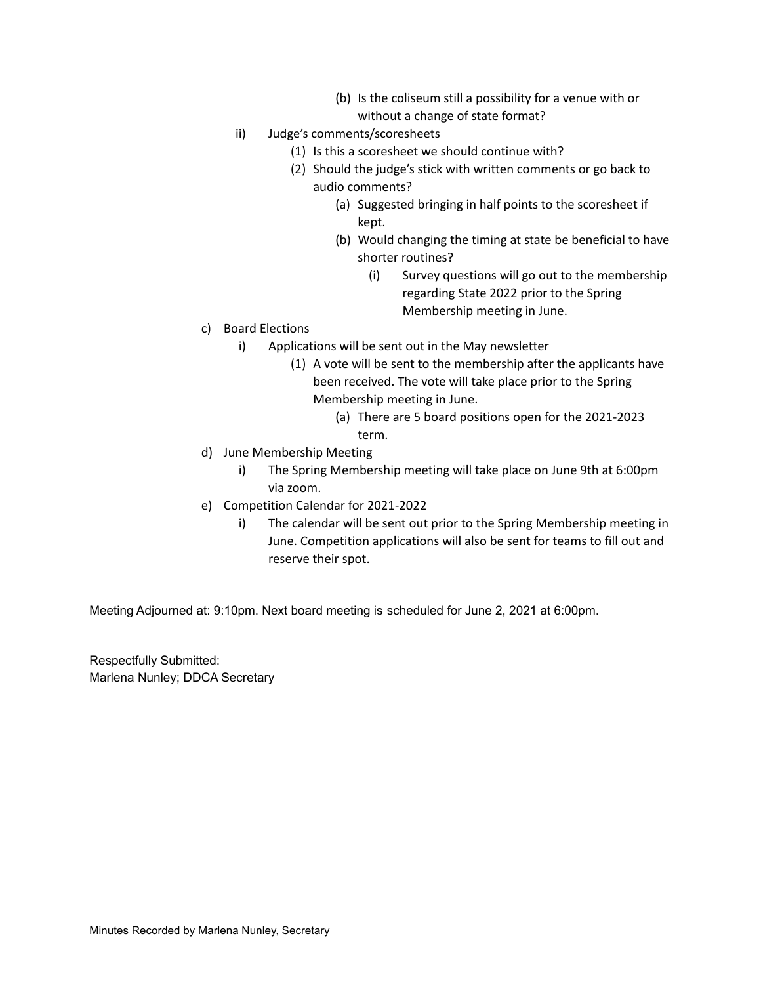- (b) Is the coliseum still a possibility for a venue with or without a change of state format?
- ii) Judge's comments/scoresheets
	- (1) Is this a scoresheet we should continue with?
	- (2) Should the judge's stick with written comments or go back to audio comments?
		- (a) Suggested bringing in half points to the scoresheet if kept.
		- (b) Would changing the timing at state be beneficial to have shorter routines?
			- (i) Survey questions will go out to the membership regarding State 2022 prior to the Spring Membership meeting in June.
- c) Board Elections
	- i) Applications will be sent out in the May newsletter
		- (1) A vote will be sent to the membership after the applicants have been received. The vote will take place prior to the Spring Membership meeting in June.
			- (a) There are 5 board positions open for the 2021-2023 term.
- d) June Membership Meeting
	- i) The Spring Membership meeting will take place on June 9th at 6:00pm via zoom.
- e) Competition Calendar for 2021-2022
	- i) The calendar will be sent out prior to the Spring Membership meeting in June. Competition applications will also be sent for teams to fill out and reserve their spot.

Meeting Adjourned at: 9:10pm. Next board meeting is scheduled for June 2, 2021 at 6:00pm.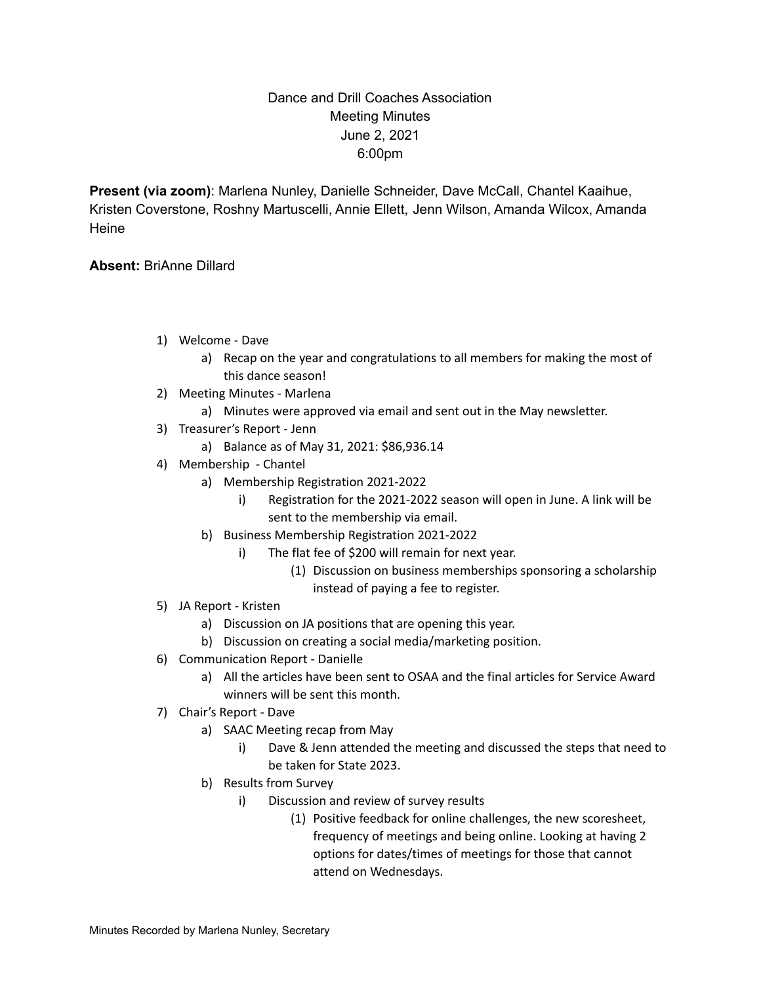## Dance and Drill Coaches Association Meeting Minutes June 2, 2021 6:00pm

**Present (via zoom)**: Marlena Nunley, Danielle Schneider, Dave McCall, Chantel Kaaihue, Kristen Coverstone, Roshny Martuscelli, Annie Ellett, Jenn Wilson, Amanda Wilcox, Amanda **Heine** 

#### **Absent:** BriAnne Dillard

- 1) Welcome Dave
	- a) Recap on the year and congratulations to all members for making the most of this dance season!
- 2) Meeting Minutes Marlena
	- a) Minutes were approved via email and sent out in the May newsletter.
- 3) Treasurer's Report Jenn
	- a) Balance as of May 31, 2021: \$86,936.14
- 4) Membership Chantel
	- a) Membership Registration 2021-2022
		- i) Registration for the 2021-2022 season will open in June. A link will be sent to the membership via email.
	- b) Business Membership Registration 2021-2022
		- i) The flat fee of \$200 will remain for next year.
			- (1) Discussion on business memberships sponsoring a scholarship instead of paying a fee to register.
- 5) JA Report Kristen
	- a) Discussion on JA positions that are opening this year.
	- b) Discussion on creating a social media/marketing position.
- 6) Communication Report Danielle
	- a) All the articles have been sent to OSAA and the final articles for Service Award winners will be sent this month.
- 7) Chair's Report Dave
	- a) SAAC Meeting recap from May
		- i) Dave & Jenn attended the meeting and discussed the steps that need to be taken for State 2023.
	- b) Results from Survey
		- i) Discussion and review of survey results
			- (1) Positive feedback for online challenges, the new scoresheet, frequency of meetings and being online. Looking at having 2 options for dates/times of meetings for those that cannot attend on Wednesdays.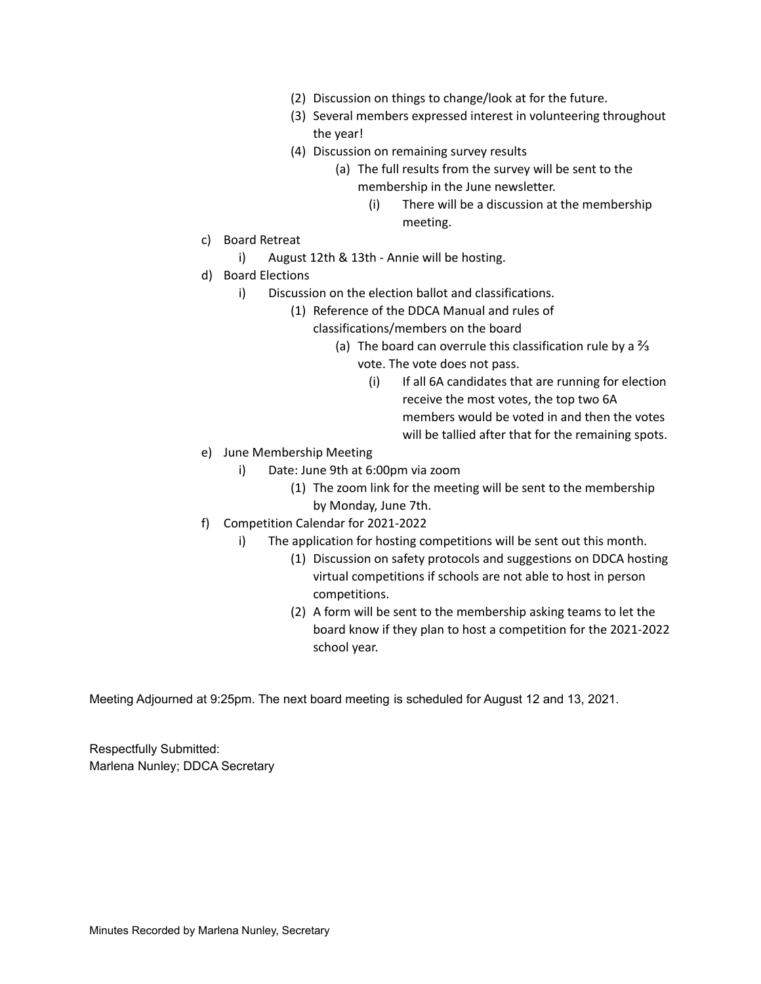- (2) Discussion on things to change/look at for the future.
- (3) Several members expressed interest in volunteering throughout the year!
- (4) Discussion on remaining survey results
	- (a) The full results from the survey will be sent to the membership in the June newsletter.
		- (i) There will be a discussion at the membership meeting.
- c) Board Retreat
	- i) August 12th & 13th Annie will be hosting.
- d) Board Elections
	- i) Discussion on the election ballot and classifications.
		- (1) Reference of the DDCA Manual and rules of
			- classifications/members on the board
				- (a) The board can overrule this classification rule by a  $\frac{2}{3}$ 
					- vote. The vote does not pass.
						- (i) If all 6A candidates that are running for election receive the most votes, the top two 6A members would be voted in and then the votes will be tallied after that for the remaining spots.
- e) June Membership Meeting
	- i) Date: June 9th at 6:00pm via zoom
		- (1) The zoom link for the meeting will be sent to the membership by Monday, June 7th.
- f) Competition Calendar for 2021-2022
	- i) The application for hosting competitions will be sent out this month.
		- (1) Discussion on safety protocols and suggestions on DDCA hosting virtual competitions if schools are not able to host in person competitions.
		- (2) A form will be sent to the membership asking teams to let the board know if they plan to host a competition for the 2021-2022 school year.

Meeting Adjourned at 9:25pm. The next board meeting is scheduled for August 12 and 13, 2021.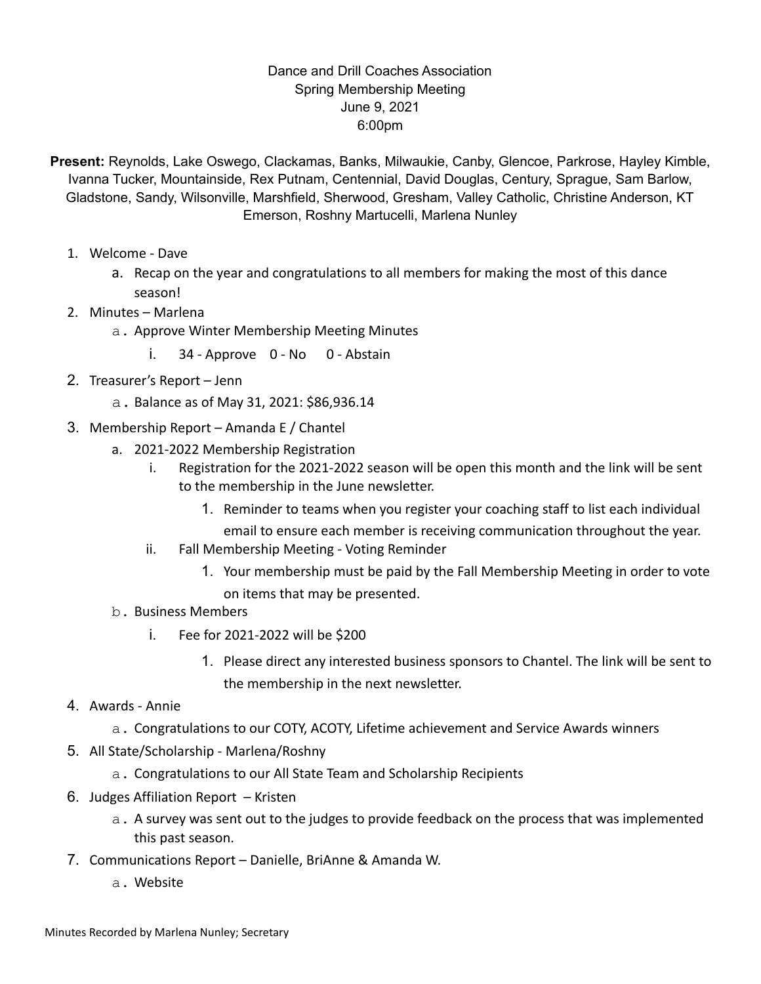### Dance and Drill Coaches Association Spring Membership Meeting June 9, 2021 6:00pm

- **Present:** Reynolds, Lake Oswego, Clackamas, Banks, Milwaukie, Canby, Glencoe, Parkrose, Hayley Kimble, Ivanna Tucker, Mountainside, Rex Putnam, Centennial, David Douglas, Century, Sprague, Sam Barlow, Gladstone, Sandy, Wilsonville, Marshfield, Sherwood, Gresham, Valley Catholic, Christine Anderson, KT Emerson, Roshny Martucelli, Marlena Nunley
	- 1. Welcome Dave
		- a. Recap on the year and congratulations to all members for making the most of this dance season!
	- 2. Minutes Marlena
		- a. Approve Winter Membership Meeting Minutes
			- i. 34 Approve 0 No 0 Abstain
	- 2. Treasurer's Report Jenn
		- a. Balance as of May 31, 2021: \$86,936.14
	- 3. Membership Report Amanda E / Chantel
		- a. 2021-2022 Membership Registration
			- i. Registration for the 2021-2022 season will be open this month and the link will be sent to the membership in the June newsletter.
				- 1. Reminder to teams when you register your coaching staff to list each individual
				- email to ensure each member is receiving communication throughout the year.
			- ii. Fall Membership Meeting Voting Reminder
				- 1. Your membership must be paid by the Fall Membership Meeting in order to vote on items that may be presented.
		- b. Business Members
			- i. Fee for 2021-2022 will be \$200
				- 1. Please direct any interested business sponsors to Chantel. The link will be sent to the membership in the next newsletter.

#### 4. Awards - Annie

- a. Congratulations to our COTY, ACOTY, Lifetime achievement and Service Awards winners
- 5. All State/Scholarship Marlena/Roshny
	- a. Congratulations to our All State Team and Scholarship Recipients
- 6. Judges Affiliation Report Kristen
	- a. A survey was sent out to the judges to provide feedback on the process that was implemented this past season.
- 7. Communications Report Danielle, BriAnne & Amanda W.
	- a. Website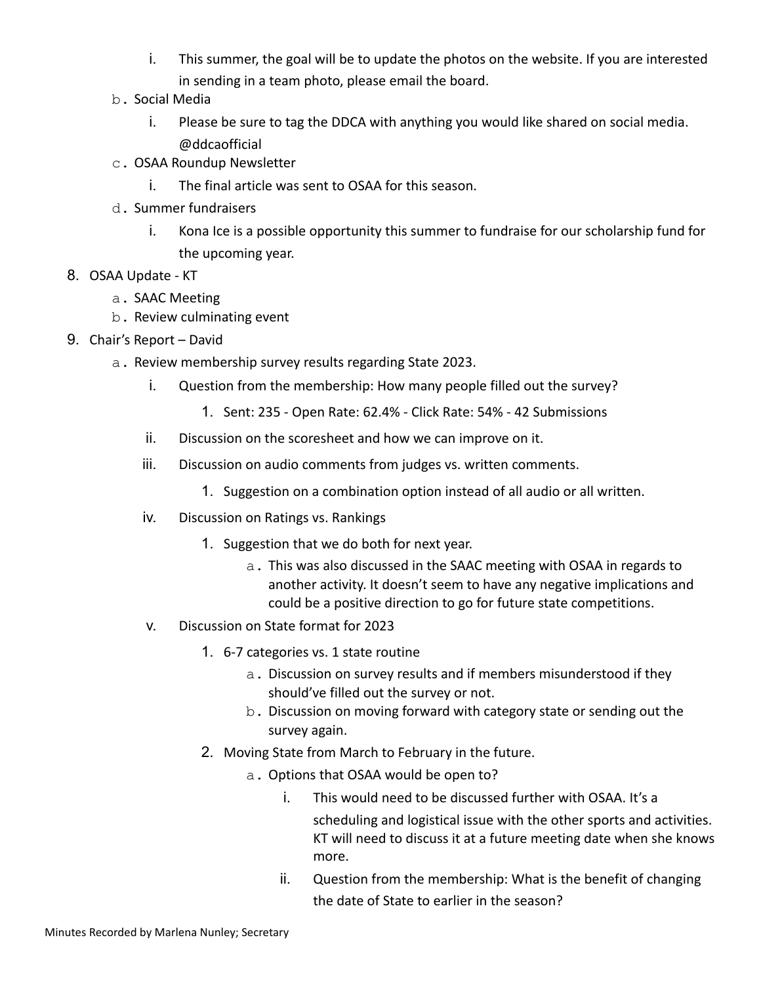- i. This summer, the goal will be to update the photos on the website. If you are interested in sending in a team photo, please email the board.
- b. Social Media
	- i. Please be sure to tag the DDCA with anything you would like shared on social media. @ddcaofficial
- c. OSAA Roundup Newsletter
	- i. The final article was sent to OSAA for this season.
- d. Summer fundraisers
	- i. Kona Ice is a possible opportunity this summer to fundraise for our scholarship fund for the upcoming year.
- 8. OSAA Update KT
	- a. SAAC Meeting
	- b. Review culminating event
- 9. Chair's Report David
	- a. Review membership survey results regarding State 2023.
		- i. Question from the membership: How many people filled out the survey?
			- 1. Sent: 235 Open Rate: 62.4% Click Rate: 54% 42 Submissions
		- ii. Discussion on the scoresheet and how we can improve on it.
		- iii. Discussion on audio comments from judges vs. written comments.
			- 1. Suggestion on a combination option instead of all audio or all written.
		- iv. Discussion on Ratings vs. Rankings
			- 1. Suggestion that we do both for next year.
				- a. This was also discussed in the SAAC meeting with OSAA in regards to another activity. It doesn't seem to have any negative implications and could be a positive direction to go for future state competitions.
		- v. Discussion on State format for 2023
			- 1. 6-7 categories vs. 1 state routine
				- a. Discussion on survey results and if members misunderstood if they should've filled out the survey or not.
				- b. Discussion on moving forward with category state or sending out the survey again.
			- 2. Moving State from March to February in the future.
				- a. Options that OSAA would be open to?
					- i. This would need to be discussed further with OSAA. It's a scheduling and logistical issue with the other sports and activities. KT will need to discuss it at a future meeting date when she knows more.
					- ii. Question from the membership: What is the benefit of changing the date of State to earlier in the season?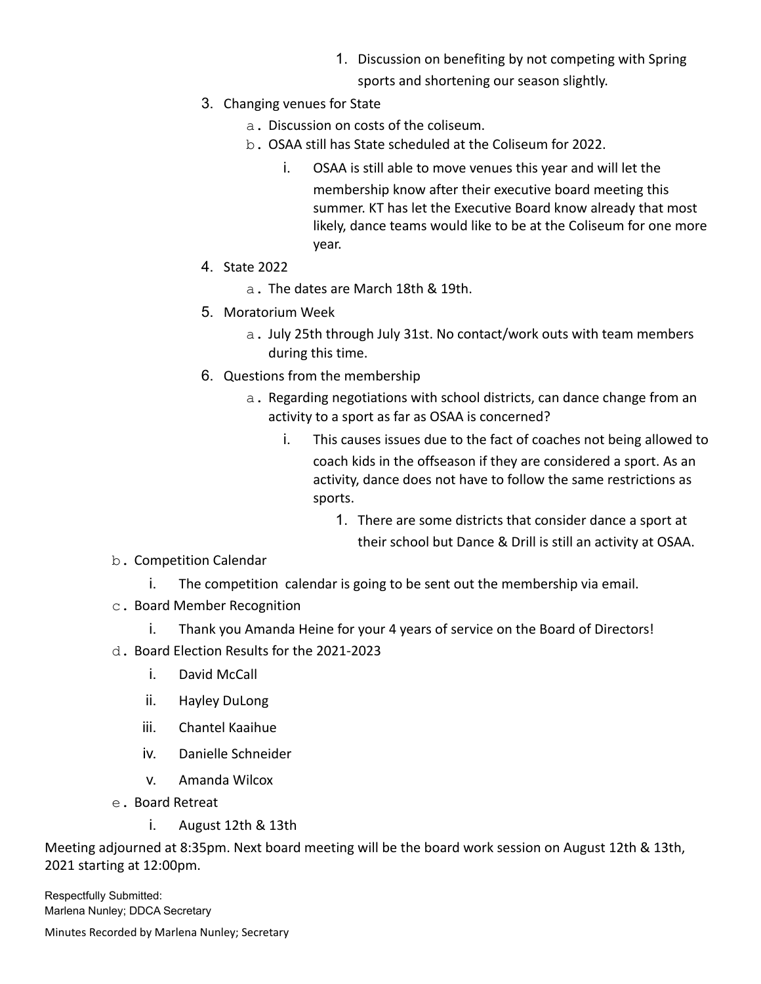- 1. Discussion on benefiting by not competing with Spring
	- sports and shortening our season slightly.
- 3. Changing venues for State
	- a. Discussion on costs of the coliseum.
	- b. OSAA still has State scheduled at the Coliseum for 2022.
		- i. OSAA is still able to move venues this year and will let the membership know after their executive board meeting this summer. KT has let the Executive Board know already that most likely, dance teams would like to be at the Coliseum for one more year.
- 4. State 2022
	- a. The dates are March 18th & 19th.
- 5. Moratorium Week
	- a. July 25th through July 31st. No contact/work outs with team members during this time.
- 6. Questions from the membership
	- a. Regarding negotiations with school districts, can dance change from an activity to a sport as far as OSAA is concerned?
		- i. This causes issues due to the fact of coaches not being allowed to coach kids in the offseason if they are considered a sport. As an activity, dance does not have to follow the same restrictions as sports.
			- 1. There are some districts that consider dance a sport at their school but Dance & Drill is still an activity at OSAA.
- b. Competition Calendar
	- i. The competition calendar is going to be sent out the membership via email.
- c. Board Member Recognition
	- i. Thank you Amanda Heine for your 4 years of service on the Board of Directors!
- d. Board Election Results for the 2021-2023
	- i. David McCall
	- ii. Hayley DuLong
	- iii. Chantel Kaaihue
	- iv. Danielle Schneider
	- v. Amanda Wilcox
- e. Board Retreat
	- i. August 12th & 13th

Meeting adjourned at 8:35pm. Next board meeting will be the board work session on August 12th & 13th, 2021 starting at 12:00pm.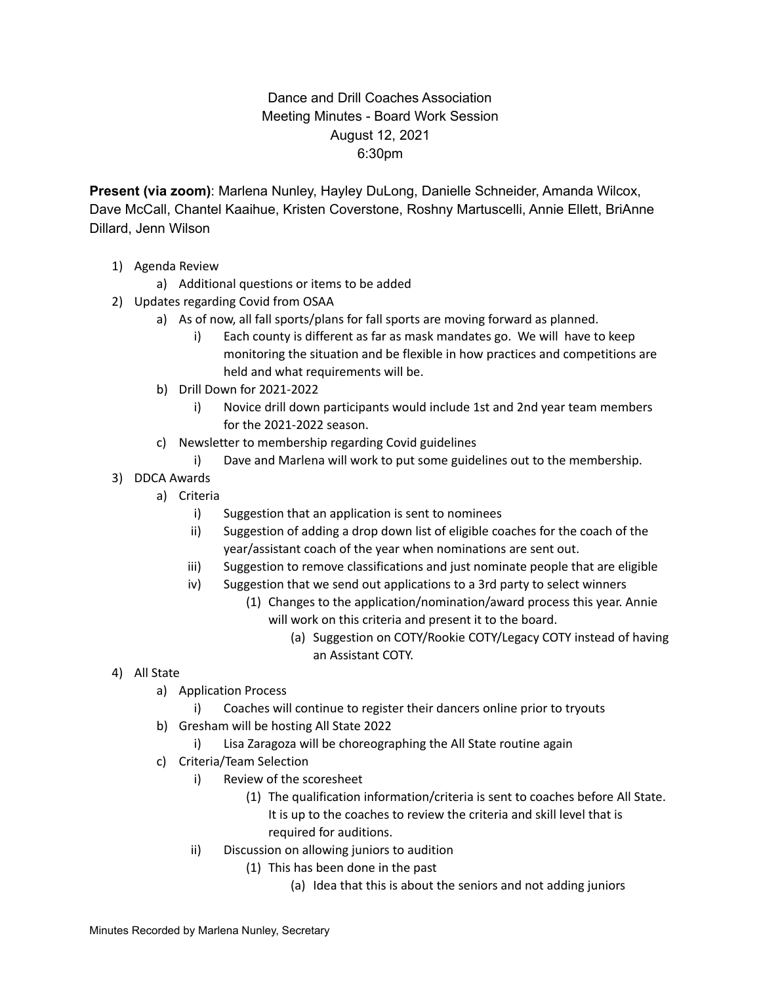## Dance and Drill Coaches Association Meeting Minutes - Board Work Session August 12, 2021 6:30pm

**Present (via zoom)**: Marlena Nunley, Hayley DuLong, Danielle Schneider, Amanda Wilcox, Dave McCall, Chantel Kaaihue, Kristen Coverstone, Roshny Martuscelli, Annie Ellett, BriAnne Dillard, Jenn Wilson

- 1) Agenda Review
	- a) Additional questions or items to be added
- 2) Updates regarding Covid from OSAA
	- a) As of now, all fall sports/plans for fall sports are moving forward as planned.
		- i) Each county is different as far as mask mandates go. We will have to keep monitoring the situation and be flexible in how practices and competitions are held and what requirements will be.
	- b) Drill Down for 2021-2022
		- i) Novice drill down participants would include 1st and 2nd year team members for the 2021-2022 season.
	- c) Newsletter to membership regarding Covid guidelines
		- i) Dave and Marlena will work to put some guidelines out to the membership.
- 3) DDCA Awards
	- a) Criteria
		- i) Suggestion that an application is sent to nominees
		- ii) Suggestion of adding a drop down list of eligible coaches for the coach of the year/assistant coach of the year when nominations are sent out.
		- iii) Suggestion to remove classifications and just nominate people that are eligible
		- iv) Suggestion that we send out applications to a 3rd party to select winners
			- (1) Changes to the application/nomination/award process this year. Annie will work on this criteria and present it to the board.
				- (a) Suggestion on COTY/Rookie COTY/Legacy COTY instead of having an Assistant COTY.

- 4) All State
	- a) Application Process
		- i) Coaches will continue to register their dancers online prior to tryouts
	- b) Gresham will be hosting All State 2022
		- i) Lisa Zaragoza will be choreographing the All State routine again
	- c) Criteria/Team Selection
		- i) Review of the scoresheet
			- (1) The qualification information/criteria is sent to coaches before All State. It is up to the coaches to review the criteria and skill level that is required for auditions.
		- ii) Discussion on allowing juniors to audition
			- (1) This has been done in the past
				- (a) Idea that this is about the seniors and not adding juniors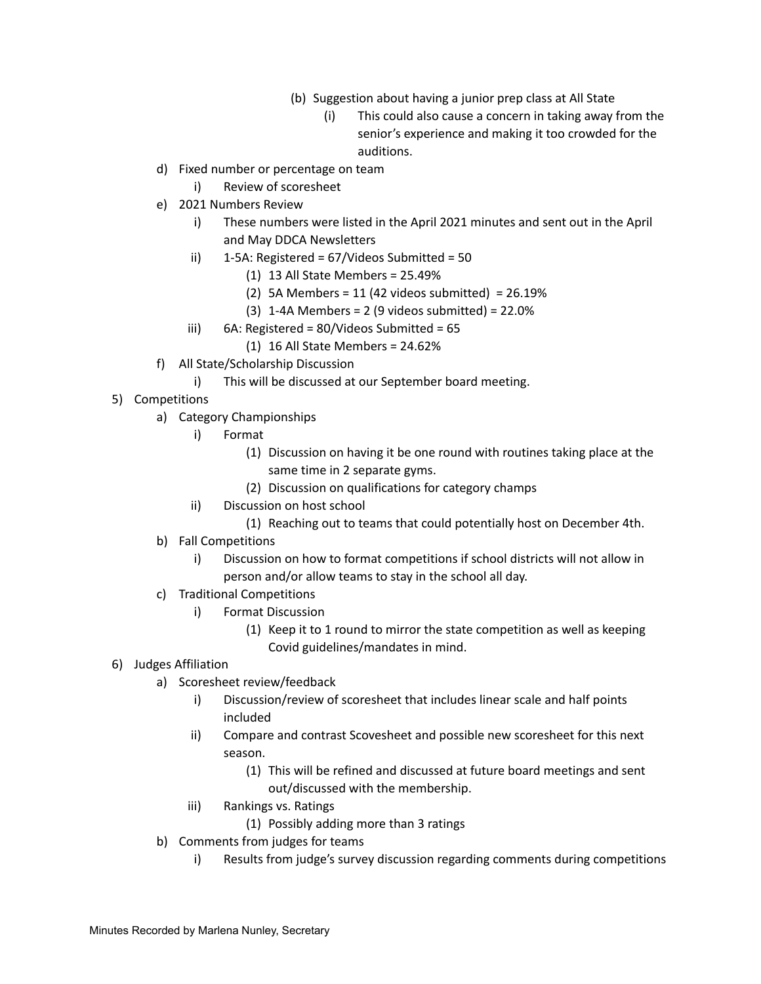- (b) Suggestion about having a junior prep class at All State
	- (i) This could also cause a concern in taking away from the senior's experience and making it too crowded for the auditions.
- d) Fixed number or percentage on team
	- i) Review of scoresheet
- e) 2021 Numbers Review
	- i) These numbers were listed in the April 2021 minutes and sent out in the April and May DDCA Newsletters
	- ii)  $1-5A$ : Registered = 67/Videos Submitted = 50
		- (1) 13 All State Members = 25.49%
		- (2) 5A Members = 11 (42 videos submitted) =  $26.19%$
		- $(3)$  1-4A Members = 2 (9 videos submitted) = 22.0%
	- iii) 6A: Registered = 80/Videos Submitted = 65
		- (1) 16 All State Members = 24.62%
- f) All State/Scholarship Discussion
	- i) This will be discussed at our September board meeting.
- 5) Competitions
	- a) Category Championships
		- i) Format
			- (1) Discussion on having it be one round with routines taking place at the same time in 2 separate gyms.
			- (2) Discussion on qualifications for category champs
		- ii) Discussion on host school
			- (1) Reaching out to teams that could potentially host on December 4th.
	- b) Fall Competitions
		- i) Discussion on how to format competitions if school districts will not allow in person and/or allow teams to stay in the school all day.
	- c) Traditional Competitions
		- i) Format Discussion
			- (1) Keep it to 1 round to mirror the state competition as well as keeping Covid guidelines/mandates in mind.

#### 6) Judges Affiliation

- a) Scoresheet review/feedback
	- i) Discussion/review of scoresheet that includes linear scale and half points included
	- ii) Compare and contrast Scovesheet and possible new scoresheet for this next season.
		- (1) This will be refined and discussed at future board meetings and sent out/discussed with the membership.
	- iii) Rankings vs. Ratings
		- (1) Possibly adding more than 3 ratings
- b) Comments from judges for teams
	- i) Results from judge's survey discussion regarding comments during competitions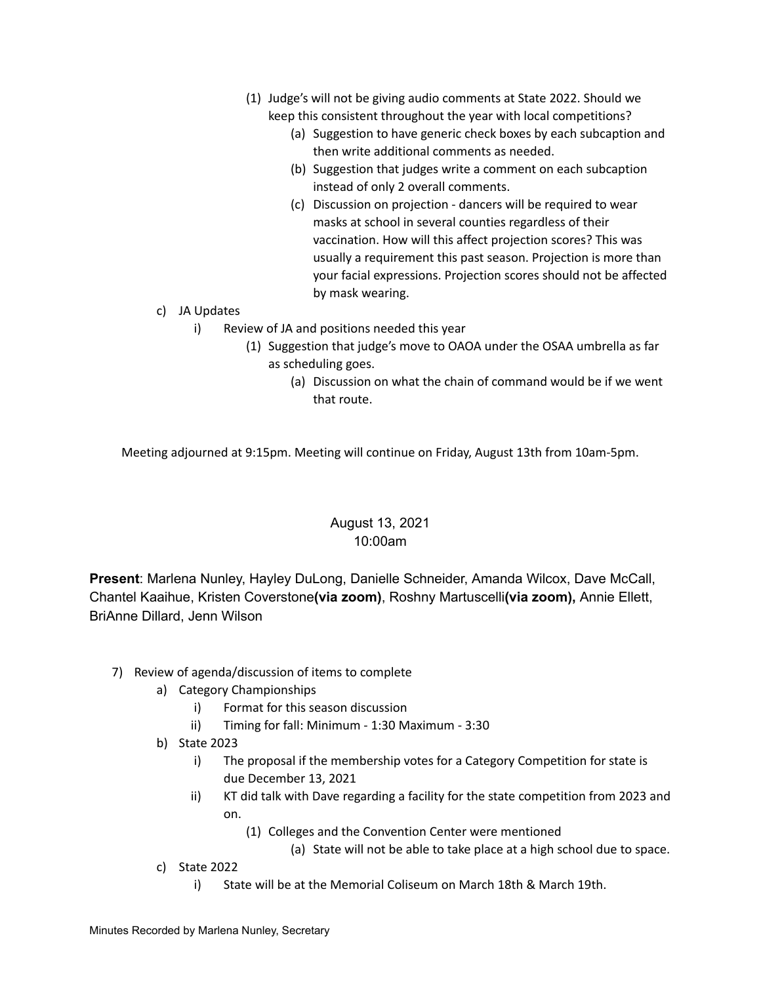- (1) Judge's will not be giving audio comments at State 2022. Should we keep this consistent throughout the year with local competitions?
	- (a) Suggestion to have generic check boxes by each subcaption and then write additional comments as needed.
	- (b) Suggestion that judges write a comment on each subcaption instead of only 2 overall comments.
	- (c) Discussion on projection dancers will be required to wear masks at school in several counties regardless of their vaccination. How will this affect projection scores? This was usually a requirement this past season. Projection is more than your facial expressions. Projection scores should not be affected by mask wearing.
- c) JA Updates
	- i) Review of JA and positions needed this year
		- (1) Suggestion that judge's move to OAOA under the OSAA umbrella as far as scheduling goes.
			- (a) Discussion on what the chain of command would be if we went that route.

Meeting adjourned at 9:15pm. Meeting will continue on Friday, August 13th from 10am-5pm.

## August 13, 2021 10:00am

**Present**: Marlena Nunley, Hayley DuLong, Danielle Schneider, Amanda Wilcox, Dave McCall, Chantel Kaaihue, Kristen Coverstone**(via zoom)**, Roshny Martuscelli**(via zoom),** Annie Ellett, BriAnne Dillard, Jenn Wilson

- 7) Review of agenda/discussion of items to complete
	- a) Category Championships
		- i) Format for this season discussion
		- ii) Timing for fall: Minimum 1:30 Maximum 3:30
	- b) State 2023
		- i) The proposal if the membership votes for a Category Competition for state is due December 13, 2021
		- ii) KT did talk with Dave regarding a facility for the state competition from 2023 and on.
			- (1) Colleges and the Convention Center were mentioned
				- (a) State will not be able to take place at a high school due to space.
	- c) State 2022
		- i) State will be at the Memorial Coliseum on March 18th & March 19th.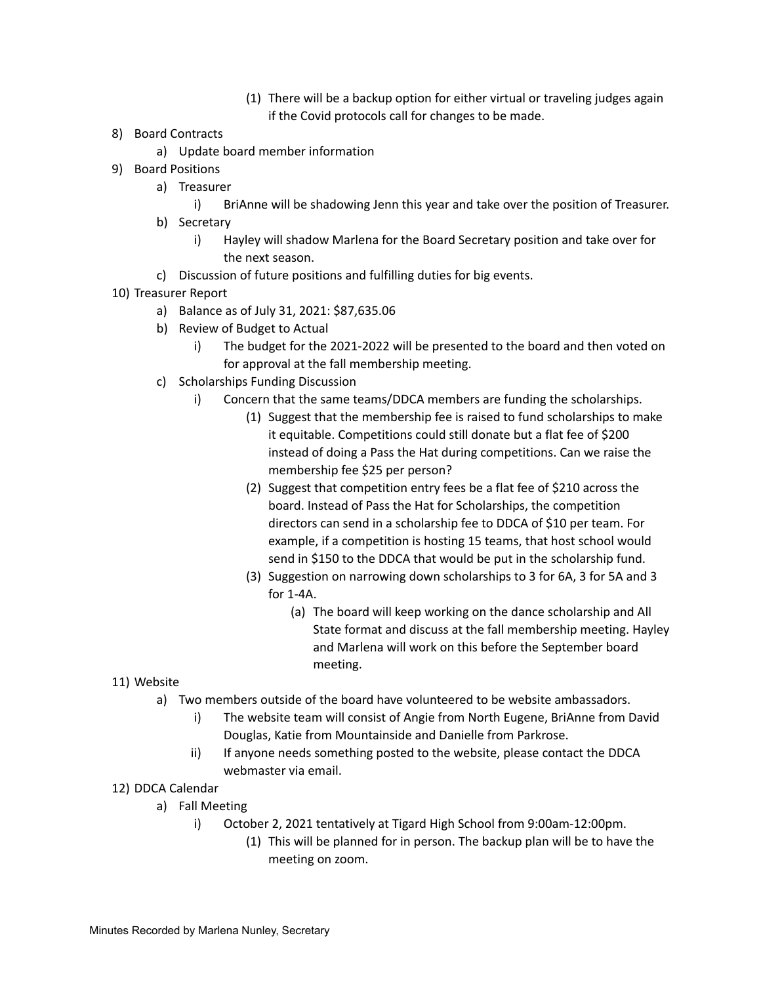- (1) There will be a backup option for either virtual or traveling judges again if the Covid protocols call for changes to be made.
- 8) Board Contracts
	- a) Update board member information
- 9) Board Positions
	- a) Treasurer
		- i) BriAnne will be shadowing Jenn this year and take over the position of Treasurer.
	- b) Secretary
		- i) Hayley will shadow Marlena for the Board Secretary position and take over for the next season.
	- c) Discussion of future positions and fulfilling duties for big events.
- 10) Treasurer Report
	- a) Balance as of July 31, 2021: \$87,635.06
	- b) Review of Budget to Actual
		- i) The budget for the 2021-2022 will be presented to the board and then voted on for approval at the fall membership meeting.
	- c) Scholarships Funding Discussion
		- i) Concern that the same teams/DDCA members are funding the scholarships.
			- (1) Suggest that the membership fee is raised to fund scholarships to make it equitable. Competitions could still donate but a flat fee of \$200 instead of doing a Pass the Hat during competitions. Can we raise the membership fee \$25 per person?
			- (2) Suggest that competition entry fees be a flat fee of \$210 across the board. Instead of Pass the Hat for Scholarships, the competition directors can send in a scholarship fee to DDCA of \$10 per team. For example, if a competition is hosting 15 teams, that host school would send in \$150 to the DDCA that would be put in the scholarship fund.
			- (3) Suggestion on narrowing down scholarships to 3 for 6A, 3 for 5A and 3 for 1-4A.
				- (a) The board will keep working on the dance scholarship and All State format and discuss at the fall membership meeting. Hayley and Marlena will work on this before the September board meeting.

- 11) Website
	- a) Two members outside of the board have volunteered to be website ambassadors.
		- i) The website team will consist of Angie from North Eugene, BriAnne from David Douglas, Katie from Mountainside and Danielle from Parkrose.
		- ii) If anyone needs something posted to the website, please contact the DDCA webmaster via email.
- 12) DDCA Calendar
	- a) Fall Meeting
		- i) October 2, 2021 tentatively at Tigard High School from 9:00am-12:00pm.
			- (1) This will be planned for in person. The backup plan will be to have the meeting on zoom.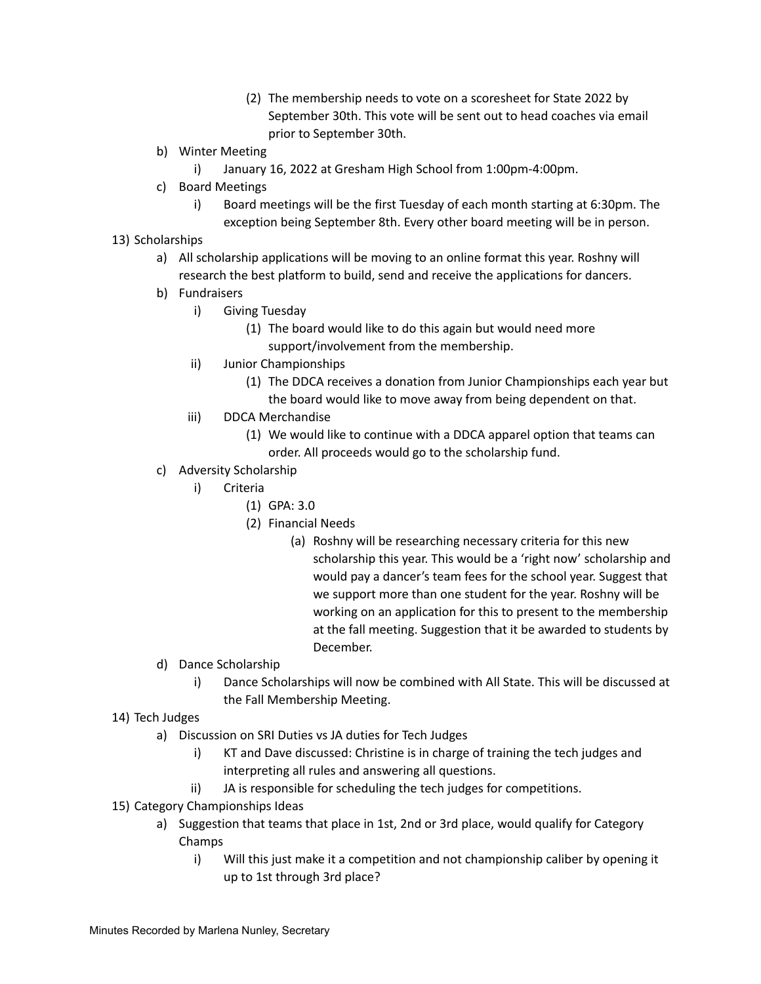- (2) The membership needs to vote on a scoresheet for State 2022 by September 30th. This vote will be sent out to head coaches via email prior to September 30th.
- b) Winter Meeting
	- i) January 16, 2022 at Gresham High School from 1:00pm-4:00pm.
- c) Board Meetings
	- i) Board meetings will be the first Tuesday of each month starting at 6:30pm. The exception being September 8th. Every other board meeting will be in person.
- 13) Scholarships
	- a) All scholarship applications will be moving to an online format this year. Roshny will research the best platform to build, send and receive the applications for dancers.
	- b) Fundraisers
		- i) Giving Tuesday
			- (1) The board would like to do this again but would need more support/involvement from the membership.
		- ii) Junior Championships
			- (1) The DDCA receives a donation from Junior Championships each year but the board would like to move away from being dependent on that.
		- iii) DDCA Merchandise
			- (1) We would like to continue with a DDCA apparel option that teams can order. All proceeds would go to the scholarship fund.
	- c) Adversity Scholarship
		- i) Criteria
			- (1) GPA: 3.0
			- (2) Financial Needs
				- (a) Roshny will be researching necessary criteria for this new scholarship this year. This would be a 'right now' scholarship and would pay a dancer's team fees for the school year. Suggest that we support more than one student for the year. Roshny will be working on an application for this to present to the membership at the fall meeting. Suggestion that it be awarded to students by December.
	- d) Dance Scholarship
		- i) Dance Scholarships will now be combined with All State. This will be discussed at the Fall Membership Meeting.
- 14) Tech Judges
	- a) Discussion on SRI Duties vs JA duties for Tech Judges
		- i) KT and Dave discussed: Christine is in charge of training the tech judges and interpreting all rules and answering all questions.
		- ii) JA is responsible for scheduling the tech judges for competitions.
- 15) Category Championships Ideas
	- a) Suggestion that teams that place in 1st, 2nd or 3rd place, would qualify for Category Champs
		- i) Will this just make it a competition and not championship caliber by opening it up to 1st through 3rd place?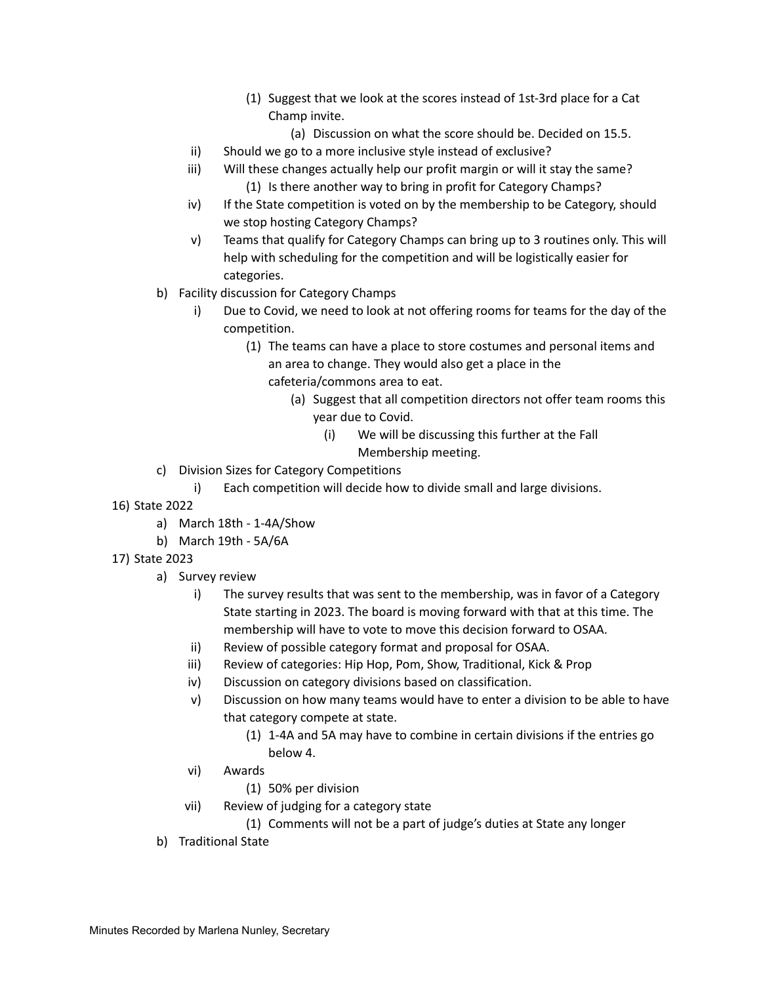- (1) Suggest that we look at the scores instead of 1st-3rd place for a Cat Champ invite.
	- (a) Discussion on what the score should be. Decided on 15.5.
- ii) Should we go to a more inclusive style instead of exclusive?
- iii) Will these changes actually help our profit margin or will it stay the same? (1) Is there another way to bring in profit for Category Champs?
- iv) If the State competition is voted on by the membership to be Category, should we stop hosting Category Champs?
- v) Teams that qualify for Category Champs can bring up to 3 routines only. This will help with scheduling for the competition and will be logistically easier for categories.
- b) Facility discussion for Category Champs
	- i) Due to Covid, we need to look at not offering rooms for teams for the day of the competition.
		- (1) The teams can have a place to store costumes and personal items and an area to change. They would also get a place in the cafeteria/commons area to eat.
			- (a) Suggest that all competition directors not offer team rooms this year due to Covid.
				- (i) We will be discussing this further at the Fall Membership meeting.
- c) Division Sizes for Category Competitions
	- i) Each competition will decide how to divide small and large divisions.
- 16) State 2022
	- a) March 18th 1-4A/Show
	- b) March 19th 5A/6A
- 17) State 2023
	- a) Survey review
		- i) The survey results that was sent to the membership, was in favor of a Category State starting in 2023. The board is moving forward with that at this time. The membership will have to vote to move this decision forward to OSAA.
		- ii) Review of possible category format and proposal for OSAA.
		- iii) Review of categories: Hip Hop, Pom, Show, Traditional, Kick & Prop
		- iv) Discussion on category divisions based on classification.
		- v) Discussion on how many teams would have to enter a division to be able to have that category compete at state.
			- (1) 1-4A and 5A may have to combine in certain divisions if the entries go below 4.
		- vi) Awards
			- (1) 50% per division
		- vii) Review of judging for a category state
			- (1) Comments will not be a part of judge's duties at State any longer
	- b) Traditional State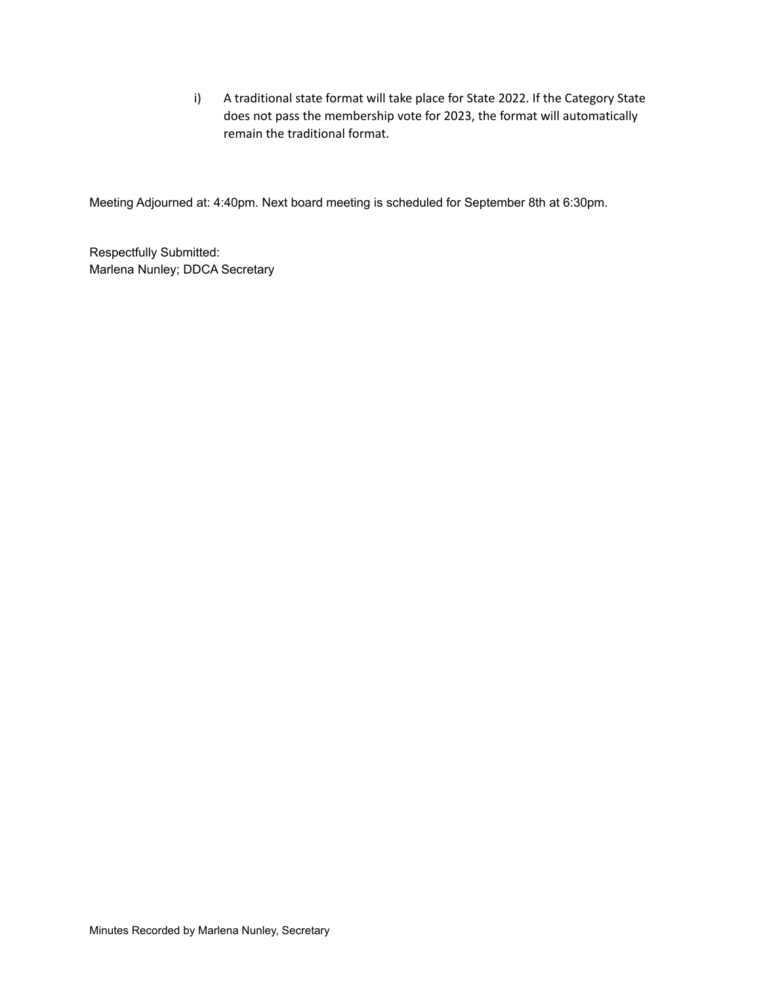i) A traditional state format will take place for State 2022. If the Category State does not pass the membership vote for 2023, the format will automatically remain the traditional format.

Meeting Adjourned at: 4:40pm. Next board meeting is scheduled for September 8th at 6:30pm.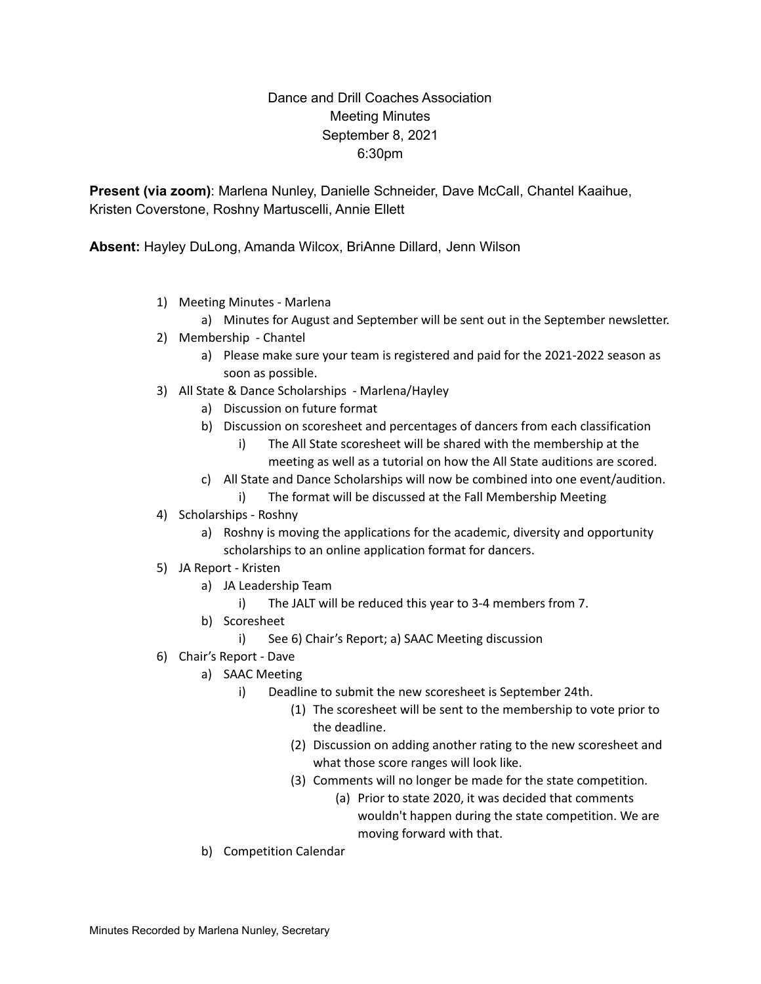### Dance and Drill Coaches Association Meeting Minutes September 8, 2021 6:30pm

**Present (via zoom)**: Marlena Nunley, Danielle Schneider, Dave McCall, Chantel Kaaihue, Kristen Coverstone, Roshny Martuscelli, Annie Ellett

**Absent:** Hayley DuLong, Amanda Wilcox, BriAnne Dillard, Jenn Wilson

- 1) Meeting Minutes Marlena
	- a) Minutes for August and September will be sent out in the September newsletter.
- 2) Membership Chantel
	- a) Please make sure your team is registered and paid for the 2021-2022 season as soon as possible.
- 3) All State & Dance Scholarships Marlena/Hayley
	- a) Discussion on future format
	- b) Discussion on scoresheet and percentages of dancers from each classification
		- i) The All State scoresheet will be shared with the membership at the meeting as well as a tutorial on how the All State auditions are scored.
	- c) All State and Dance Scholarships will now be combined into one event/audition.
		- i) The format will be discussed at the Fall Membership Meeting
- 4) Scholarships Roshny
	- a) Roshny is moving the applications for the academic, diversity and opportunity scholarships to an online application format for dancers.
- 5) JA Report Kristen
	- a) JA Leadership Team
		- i) The JALT will be reduced this year to 3-4 members from 7.
	- b) Scoresheet
		- i) See 6) Chair's Report; a) SAAC Meeting discussion
- 6) Chair's Report Dave
	- a) SAAC Meeting
		- i) Deadline to submit the new scoresheet is September 24th.
			- (1) The scoresheet will be sent to the membership to vote prior to the deadline.
			- (2) Discussion on adding another rating to the new scoresheet and what those score ranges will look like.
			- (3) Comments will no longer be made for the state competition.
				- (a) Prior to state 2020, it was decided that comments wouldn't happen during the state competition. We are moving forward with that.
	- b) Competition Calendar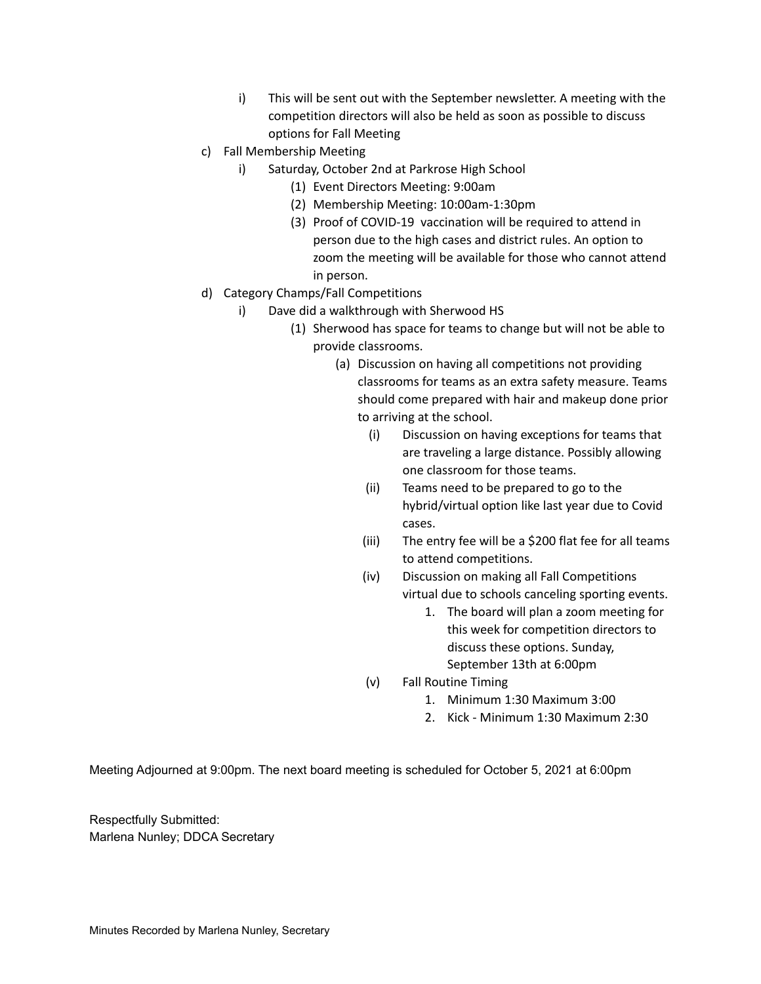- i) This will be sent out with the September newsletter. A meeting with the competition directors will also be held as soon as possible to discuss options for Fall Meeting
- c) Fall Membership Meeting
	- i) Saturday, October 2nd at Parkrose High School
		- (1) Event Directors Meeting: 9:00am
		- (2) Membership Meeting: 10:00am-1:30pm
		- (3) Proof of COVID-19 vaccination will be required to attend in person due to the high cases and district rules. An option to zoom the meeting will be available for those who cannot attend in person.
- d) Category Champs/Fall Competitions
	- i) Dave did a walkthrough with Sherwood HS
		- (1) Sherwood has space for teams to change but will not be able to provide classrooms.
			- (a) Discussion on having all competitions not providing classrooms for teams as an extra safety measure. Teams should come prepared with hair and makeup done prior to arriving at the school.
				- (i) Discussion on having exceptions for teams that are traveling a large distance. Possibly allowing one classroom for those teams.
				- (ii) Teams need to be prepared to go to the hybrid/virtual option like last year due to Covid cases.
				- (iii) The entry fee will be a \$200 flat fee for all teams to attend competitions.
				- (iv) Discussion on making all Fall Competitions virtual due to schools canceling sporting events.
					- 1. The board will plan a zoom meeting for this week for competition directors to discuss these options. Sunday, September 13th at 6:00pm
				- (v) Fall Routine Timing
					- 1. Minimum 1:30 Maximum 3:00
					- 2. Kick Minimum 1:30 Maximum 2:30

Meeting Adjourned at 9:00pm. The next board meeting is scheduled for October 5, 2021 at 6:00pm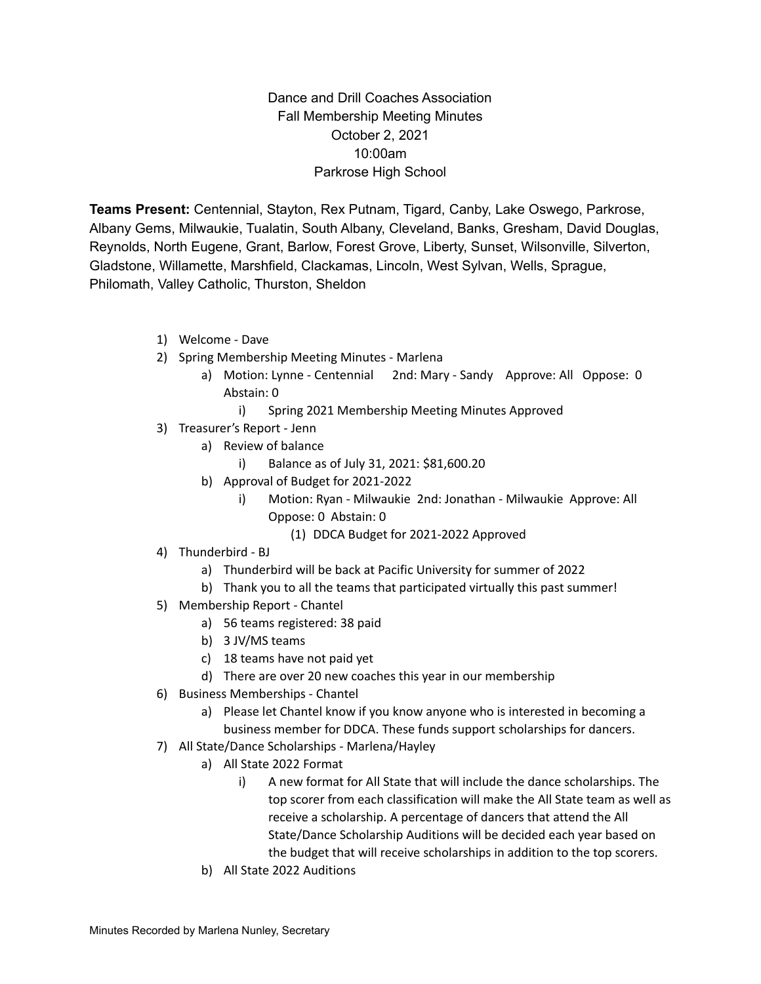Dance and Drill Coaches Association Fall Membership Meeting Minutes October 2, 2021 10:00am Parkrose High School

**Teams Present:** Centennial, Stayton, Rex Putnam, Tigard, Canby, Lake Oswego, Parkrose, Albany Gems, Milwaukie, Tualatin, South Albany, Cleveland, Banks, Gresham, David Douglas, Reynolds, North Eugene, Grant, Barlow, Forest Grove, Liberty, Sunset, Wilsonville, Silverton, Gladstone, Willamette, Marshfield, Clackamas, Lincoln, West Sylvan, Wells, Sprague, Philomath, Valley Catholic, Thurston, Sheldon

- 1) Welcome Dave
- 2) Spring Membership Meeting Minutes Marlena
	- a) Motion: Lynne Centennial 2nd: Mary Sandy Approve: All Oppose: 0 Abstain: 0
		- i) Spring 2021 Membership Meeting Minutes Approved
- 3) Treasurer's Report Jenn
	- a) Review of balance
		- i) Balance as of July 31, 2021: \$81,600.20
	- b) Approval of Budget for 2021-2022
		- i) Motion: Ryan Milwaukie 2nd: Jonathan Milwaukie Approve: All Oppose: 0 Abstain: 0
			- (1) DDCA Budget for 2021-2022 Approved
- 4) Thunderbird BJ
	- a) Thunderbird will be back at Pacific University for summer of 2022
	- b) Thank you to all the teams that participated virtually this past summer!
- 5) Membership Report Chantel
	- a) 56 teams registered: 38 paid
	- b) 3 JV/MS teams
	- c) 18 teams have not paid yet
	- d) There are over 20 new coaches this year in our membership
- 6) Business Memberships Chantel
	- a) Please let Chantel know if you know anyone who is interested in becoming a business member for DDCA. These funds support scholarships for dancers.
- 7) All State/Dance Scholarships Marlena/Hayley
	- a) All State 2022 Format
		- i) A new format for All State that will include the dance scholarships. The top scorer from each classification will make the All State team as well as receive a scholarship. A percentage of dancers that attend the All State/Dance Scholarship Auditions will be decided each year based on the budget that will receive scholarships in addition to the top scorers.
	- b) All State 2022 Auditions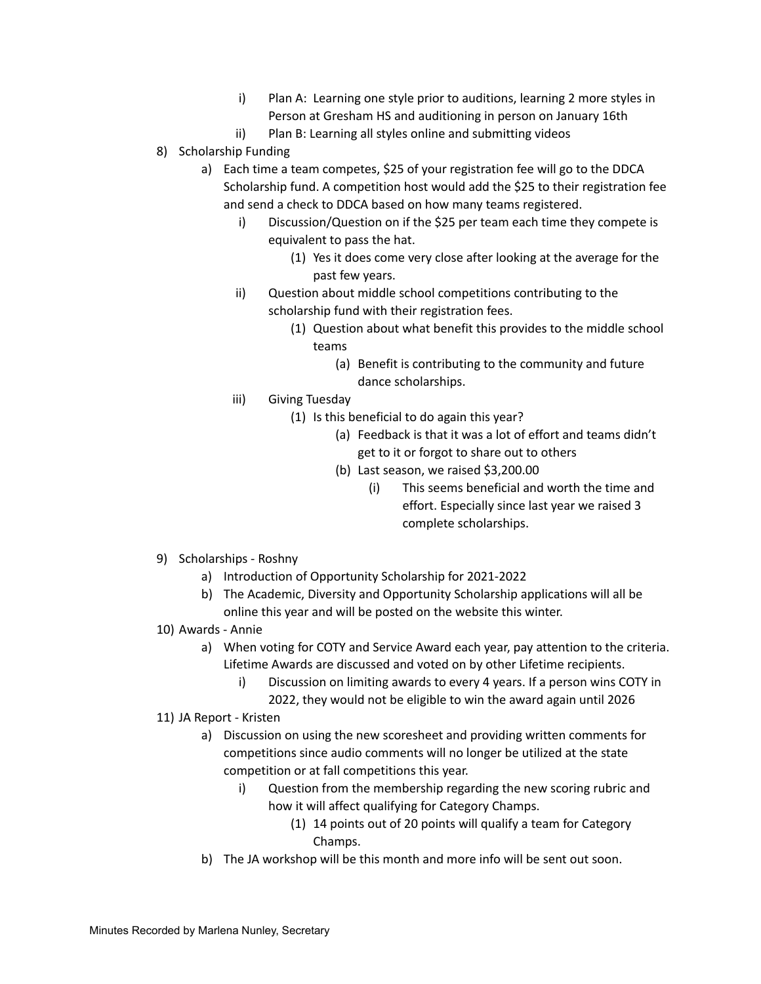- i) Plan A: Learning one style prior to auditions, learning 2 more styles in Person at Gresham HS and auditioning in person on January 16th
- ii) Plan B: Learning all styles online and submitting videos
- 8) Scholarship Funding
	- a) Each time a team competes, \$25 of your registration fee will go to the DDCA Scholarship fund. A competition host would add the \$25 to their registration fee and send a check to DDCA based on how many teams registered.
		- i) Discussion/Question on if the \$25 per team each time they compete is equivalent to pass the hat.
			- (1) Yes it does come very close after looking at the average for the past few years.
		- ii) Question about middle school competitions contributing to the scholarship fund with their registration fees.
			- (1) Question about what benefit this provides to the middle school teams
				- (a) Benefit is contributing to the community and future dance scholarships.
		- iii) Giving Tuesday
			- (1) Is this beneficial to do again this year?
				- (a) Feedback is that it was a lot of effort and teams didn't get to it or forgot to share out to others
				- (b) Last season, we raised \$3,200.00
					- (i) This seems beneficial and worth the time and effort. Especially since last year we raised 3 complete scholarships.
- 9) Scholarships Roshny
	- a) Introduction of Opportunity Scholarship for 2021-2022
	- b) The Academic, Diversity and Opportunity Scholarship applications will all be online this year and will be posted on the website this winter.
- 10) Awards Annie
	- a) When voting for COTY and Service Award each year, pay attention to the criteria. Lifetime Awards are discussed and voted on by other Lifetime recipients.
		- i) Discussion on limiting awards to every 4 years. If a person wins COTY in 2022, they would not be eligible to win the award again until 2026
- 11) JA Report Kristen
	- a) Discussion on using the new scoresheet and providing written comments for competitions since audio comments will no longer be utilized at the state competition or at fall competitions this year.
		- i) Question from the membership regarding the new scoring rubric and how it will affect qualifying for Category Champs.
			- (1) 14 points out of 20 points will qualify a team for Category Champs.
	- b) The JA workshop will be this month and more info will be sent out soon.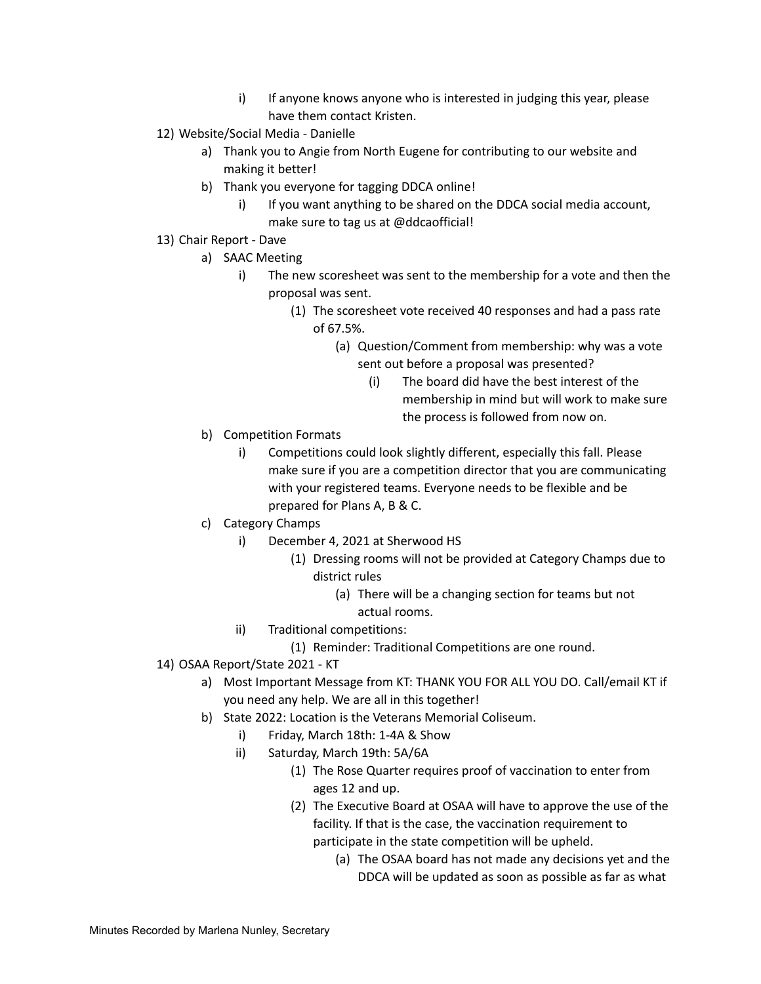- i) If anyone knows anyone who is interested in judging this year, please have them contact Kristen.
- 12) Website/Social Media Danielle
	- a) Thank you to Angie from North Eugene for contributing to our website and making it better!
	- b) Thank you everyone for tagging DDCA online!
		- i) If you want anything to be shared on the DDCA social media account, make sure to tag us at @ddcaofficial!
- 13) Chair Report Dave
	- a) SAAC Meeting
		- i) The new scoresheet was sent to the membership for a vote and then the proposal was sent.
			- (1) The scoresheet vote received 40 responses and had a pass rate of 67.5%.
				- (a) Question/Comment from membership: why was a vote sent out before a proposal was presented?
					- (i) The board did have the best interest of the membership in mind but will work to make sure the process is followed from now on.
	- b) Competition Formats
		- i) Competitions could look slightly different, especially this fall. Please make sure if you are a competition director that you are communicating with your registered teams. Everyone needs to be flexible and be prepared for Plans A, B & C.
	- c) Category Champs
		- i) December 4, 2021 at Sherwood HS
			- (1) Dressing rooms will not be provided at Category Champs due to district rules
				- (a) There will be a changing section for teams but not actual rooms.
		- ii) Traditional competitions:
			- (1) Reminder: Traditional Competitions are one round.
- 14) OSAA Report/State 2021 KT
	- a) Most Important Message from KT: THANK YOU FOR ALL YOU DO. Call/email KT if you need any help. We are all in this together!
	- b) State 2022: Location is the Veterans Memorial Coliseum.
		- i) Friday, March 18th: 1-4A & Show
		- ii) Saturday, March 19th: 5A/6A
			- (1) The Rose Quarter requires proof of vaccination to enter from ages 12 and up.
			- (2) The Executive Board at OSAA will have to approve the use of the facility. If that is the case, the vaccination requirement to participate in the state competition will be upheld.
				- (a) The OSAA board has not made any decisions yet and the DDCA will be updated as soon as possible as far as what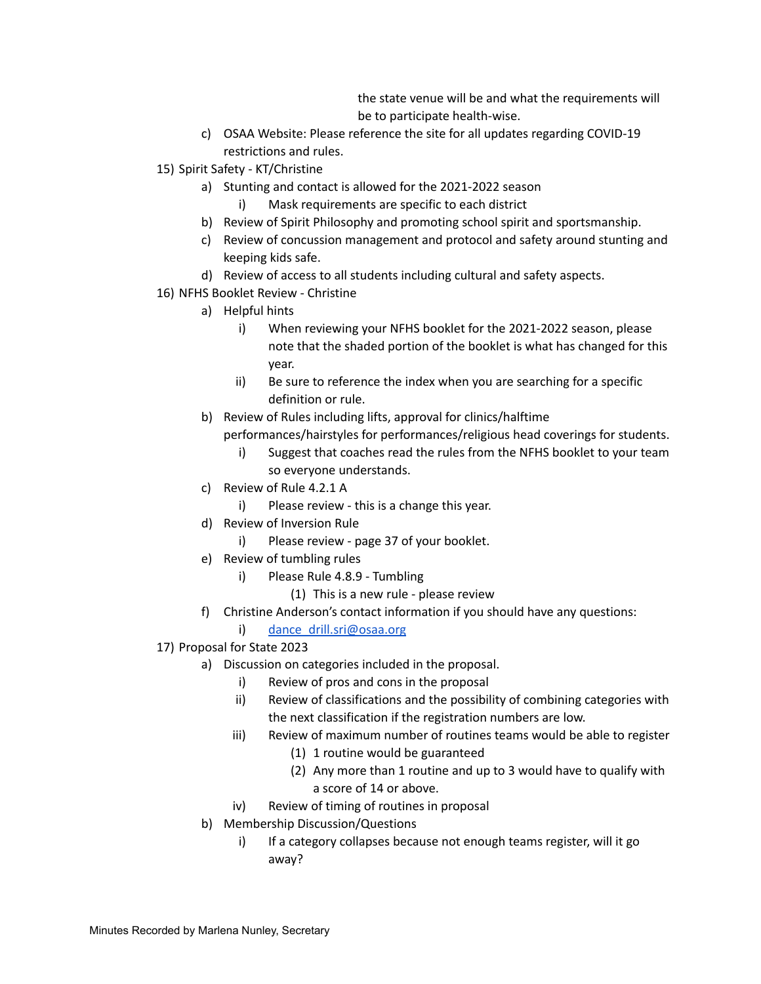the state venue will be and what the requirements will be to participate health-wise.

- c) OSAA Website: Please reference the site for all updates regarding COVID-19 restrictions and rules.
- 15) Spirit Safety KT/Christine
	- a) Stunting and contact is allowed for the 2021-2022 season
		- i) Mask requirements are specific to each district
	- b) Review of Spirit Philosophy and promoting school spirit and sportsmanship.
	- c) Review of concussion management and protocol and safety around stunting and keeping kids safe.
	- d) Review of access to all students including cultural and safety aspects.
- 16) NFHS Booklet Review Christine
	- a) Helpful hints
		- i) When reviewing your NFHS booklet for the 2021-2022 season, please note that the shaded portion of the booklet is what has changed for this year.
		- ii) Be sure to reference the index when you are searching for a specific definition or rule.
	- b) Review of Rules including lifts, approval for clinics/halftime performances/hairstyles for performances/religious head coverings for students.
		- i) Suggest that coaches read the rules from the NFHS booklet to your team so everyone understands.
	- c) Review of Rule 4.2.1 A
		- i) Please review this is a change this year.
	- d) Review of Inversion Rule
		- i) Please review page 37 of your booklet.
	- e) Review of tumbling rules
		- i) Please Rule 4.8.9 Tumbling
			- (1) This is a new rule please review
	- f) Christine Anderson's contact information if you should have any questions:
		- i) dance drill.sri@osaa.org
- 17) Proposal for State 2023
	- a) Discussion on categories included in the proposal.
		- i) Review of pros and cons in the proposal
		- ii) Review of classifications and the possibility of combining categories with the next classification if the registration numbers are low.
		- iii) Review of maximum number of routines teams would be able to register
			- (1) 1 routine would be guaranteed
			- (2) Any more than 1 routine and up to 3 would have to qualify with a score of 14 or above.
		- iv) Review of timing of routines in proposal
	- b) Membership Discussion/Questions
		- i) If a category collapses because not enough teams register, will it go away?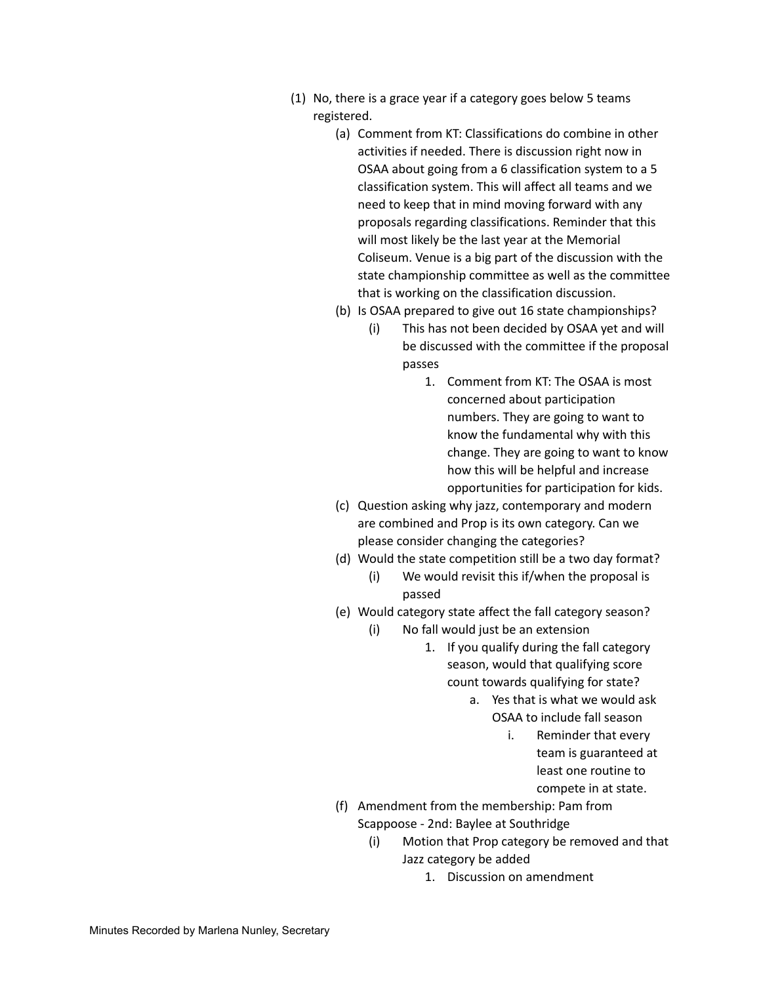- (1) No, there is a grace year if a category goes below 5 teams registered.
	- (a) Comment from KT: Classifications do combine in other activities if needed. There is discussion right now in OSAA about going from a 6 classification system to a 5 classification system. This will affect all teams and we need to keep that in mind moving forward with any proposals regarding classifications. Reminder that this will most likely be the last year at the Memorial Coliseum. Venue is a big part of the discussion with the state championship committee as well as the committee that is working on the classification discussion.
	- (b) Is OSAA prepared to give out 16 state championships?
		- (i) This has not been decided by OSAA yet and will be discussed with the committee if the proposal passes
			- 1. Comment from KT: The OSAA is most concerned about participation numbers. They are going to want to know the fundamental why with this change. They are going to want to know how this will be helpful and increase opportunities for participation for kids.
	- (c) Question asking why jazz, contemporary and modern are combined and Prop is its own category. Can we please consider changing the categories?
	- (d) Would the state competition still be a two day format?
		- (i) We would revisit this if/when the proposal is passed
	- (e) Would category state affect the fall category season?
		- (i) No fall would just be an extension
			- 1. If you qualify during the fall category season, would that qualifying score count towards qualifying for state?
				- a. Yes that is what we would ask OSAA to include fall season
					- i. Reminder that every team is guaranteed at least one routine to compete in at state.
	- (f) Amendment from the membership: Pam from Scappoose - 2nd: Baylee at Southridge
		- (i) Motion that Prop category be removed and that Jazz category be added
			- 1. Discussion on amendment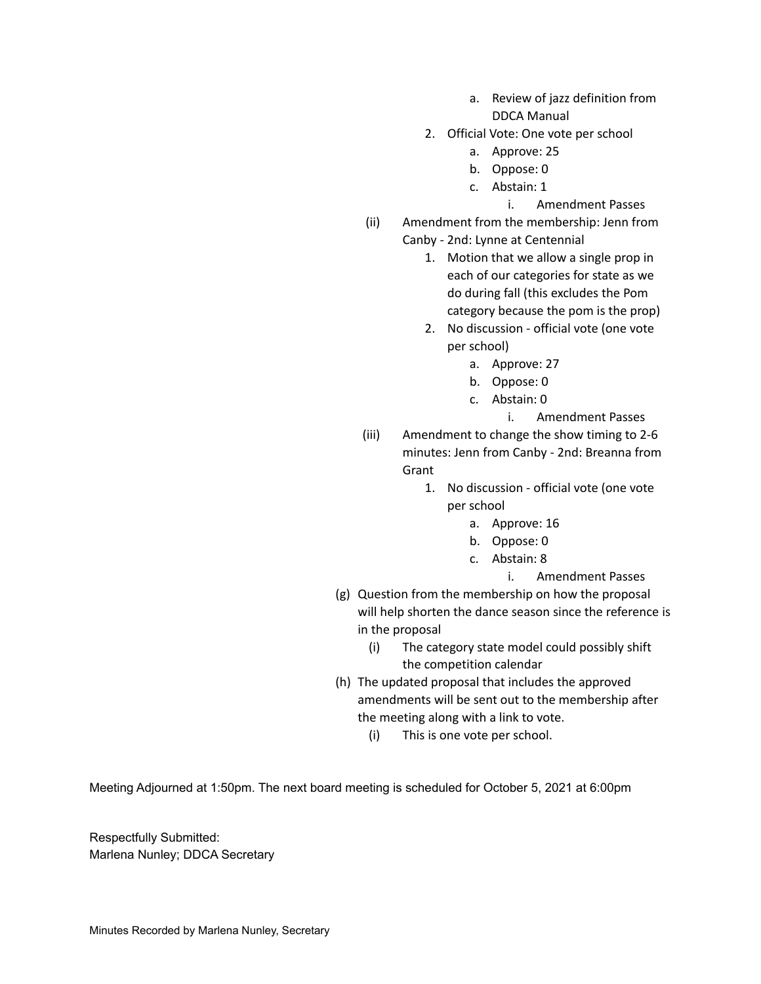- a. Review of jazz definition from DDCA Manual
- 2. Official Vote: One vote per school
	- a. Approve: 25
	- b. Oppose: 0
	- c. Abstain: 1
		- i. Amendment Passes
- (ii) Amendment from the membership: Jenn from Canby - 2nd: Lynne at Centennial
	- 1. Motion that we allow a single prop in each of our categories for state as we do during fall (this excludes the Pom category because the pom is the prop)
	- 2. No discussion official vote (one vote per school)
		- a. Approve: 27
		- b. Oppose: 0
		- c. Abstain: 0

i. Amendment Passes

- (iii) Amendment to change the show timing to 2-6 minutes: Jenn from Canby - 2nd: Breanna from **Grant** 
	- 1. No discussion official vote (one vote per school
		- a. Approve: 16
		- b. Oppose: 0
		- c. Abstain: 8
			- i. Amendment Passes
- (g) Question from the membership on how the proposal will help shorten the dance season since the reference is in the proposal
	- (i) The category state model could possibly shift the competition calendar
- (h) The updated proposal that includes the approved amendments will be sent out to the membership after the meeting along with a link to vote.
	- (i) This is one vote per school.

Meeting Adjourned at 1:50pm. The next board meeting is scheduled for October 5, 2021 at 6:00pm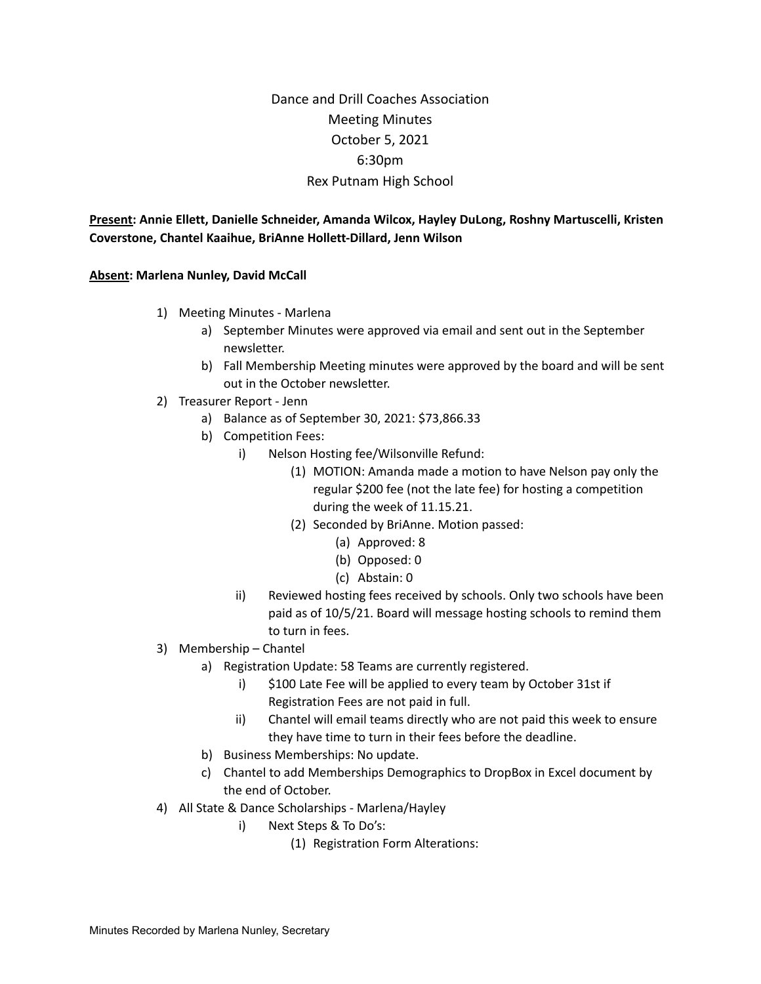# Dance and Drill Coaches Association Meeting Minutes October 5, 2021 6:30pm Rex Putnam High School

**Present: Annie Ellett, Danielle Schneider, Amanda Wilcox, Hayley DuLong, Roshny Martuscelli, Kristen Coverstone, Chantel Kaaihue, BriAnne Hollett-Dillard, Jenn Wilson**

**Absent: Marlena Nunley, David McCall**

- 1) Meeting Minutes Marlena
	- a) September Minutes were approved via email and sent out in the September newsletter.
	- b) Fall Membership Meeting minutes were approved by the board and will be sent out in the October newsletter.
- 2) Treasurer Report Jenn
	- a) Balance as of September 30, 2021: \$73,866.33
	- b) Competition Fees:
		- i) Nelson Hosting fee/Wilsonville Refund:
			- (1) MOTION: Amanda made a motion to have Nelson pay only the regular \$200 fee (not the late fee) for hosting a competition during the week of 11.15.21.
			- (2) Seconded by BriAnne. Motion passed:
				- (a) Approved: 8
				- (b) Opposed: 0
				- (c) Abstain: 0
		- ii) Reviewed hosting fees received by schools. Only two schools have been paid as of 10/5/21. Board will message hosting schools to remind them to turn in fees.
- 3) Membership Chantel
	- a) Registration Update: 58 Teams are currently registered.
		- i) \$100 Late Fee will be applied to every team by October 31st if Registration Fees are not paid in full.
		- ii) Chantel will email teams directly who are not paid this week to ensure they have time to turn in their fees before the deadline.
	- b) Business Memberships: No update.
	- c) Chantel to add Memberships Demographics to DropBox in Excel document by the end of October.
- 4) All State & Dance Scholarships Marlena/Hayley
	- i) Next Steps & To Do's:
		- (1) Registration Form Alterations: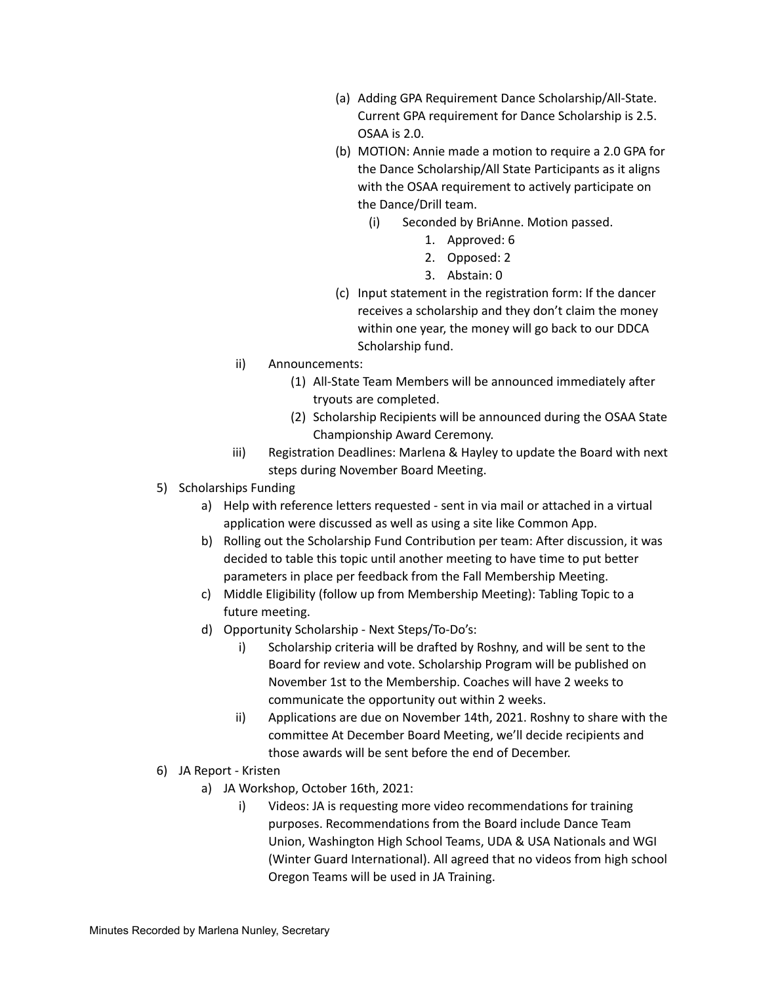- (a) Adding GPA Requirement Dance Scholarship/All-State. Current GPA requirement for Dance Scholarship is 2.5. OSAA is 2.0.
- (b) MOTION: Annie made a motion to require a 2.0 GPA for the Dance Scholarship/All State Participants as it aligns with the OSAA requirement to actively participate on the Dance/Drill team.
	- (i) Seconded by BriAnne. Motion passed.
		- 1. Approved: 6
		- 2. Opposed: 2
		- 3. Abstain: 0
- (c) Input statement in the registration form: If the dancer receives a scholarship and they don't claim the money within one year, the money will go back to our DDCA Scholarship fund.
- ii) Announcements:
	- (1) All-State Team Members will be announced immediately after tryouts are completed.
	- (2) Scholarship Recipients will be announced during the OSAA State Championship Award Ceremony.
- iii) Registration Deadlines: Marlena & Hayley to update the Board with next steps during November Board Meeting.
- 5) Scholarships Funding
	- a) Help with reference letters requested sent in via mail or attached in a virtual application were discussed as well as using a site like Common App.
	- b) Rolling out the Scholarship Fund Contribution per team: After discussion, it was decided to table this topic until another meeting to have time to put better parameters in place per feedback from the Fall Membership Meeting.
	- c) Middle Eligibility (follow up from Membership Meeting): Tabling Topic to a future meeting.
	- d) Opportunity Scholarship Next Steps/To-Do's:
		- i) Scholarship criteria will be drafted by Roshny, and will be sent to the Board for review and vote. Scholarship Program will be published on November 1st to the Membership. Coaches will have 2 weeks to communicate the opportunity out within 2 weeks.
		- ii) Applications are due on November 14th, 2021. Roshny to share with the committee At December Board Meeting, we'll decide recipients and those awards will be sent before the end of December.
- 6) JA Report Kristen
	- a) JA Workshop, October 16th, 2021:
		- i) Videos: JA is requesting more video recommendations for training purposes. Recommendations from the Board include Dance Team Union, Washington High School Teams, UDA & USA Nationals and WGI (Winter Guard International). All agreed that no videos from high school Oregon Teams will be used in JA Training.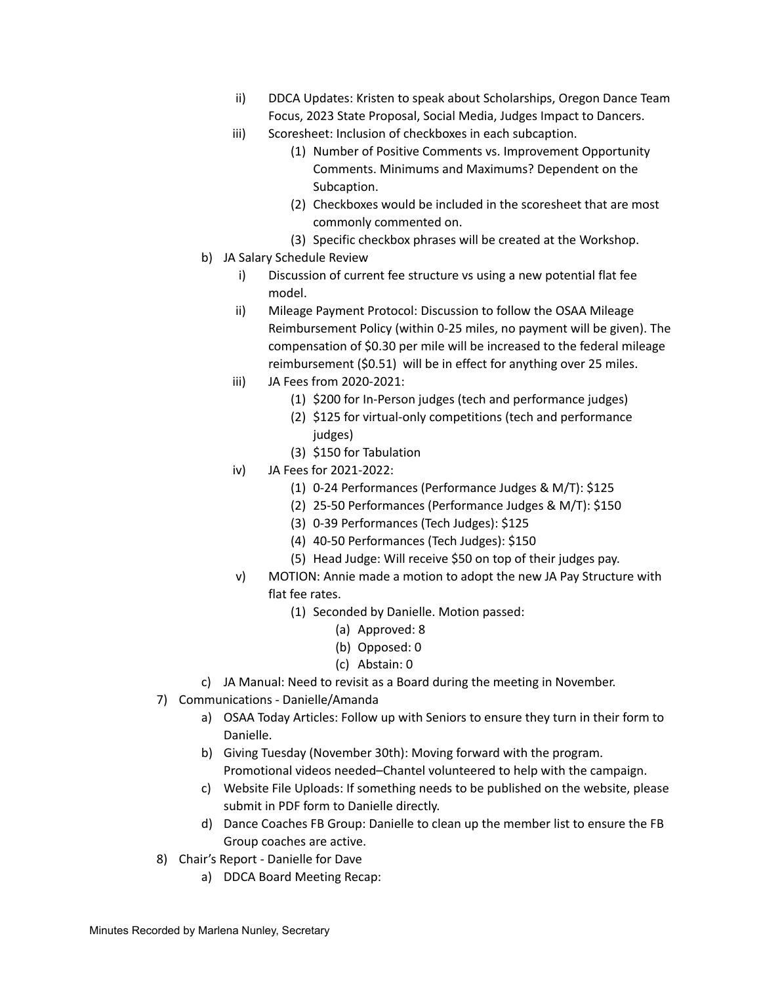- ii) DDCA Updates: Kristen to speak about Scholarships, Oregon Dance Team Focus, 2023 State Proposal, Social Media, Judges Impact to Dancers.
- iii) Scoresheet: Inclusion of checkboxes in each subcaption.
	- (1) Number of Positive Comments vs. Improvement Opportunity Comments. Minimums and Maximums? Dependent on the Subcaption.
	- (2) Checkboxes would be included in the scoresheet that are most commonly commented on.
	- (3) Specific checkbox phrases will be created at the Workshop.
- b) JA Salary Schedule Review
	- i) Discussion of current fee structure vs using a new potential flat fee model.
	- ii) Mileage Payment Protocol: Discussion to follow the OSAA Mileage Reimbursement Policy (within 0-25 miles, no payment will be given). The compensation of \$0.30 per mile will be increased to the federal mileage reimbursement (\$0.51) will be in effect for anything over 25 miles.
	- iii) JA Fees from 2020-2021:
		- (1) \$200 for In-Person judges (tech and performance judges)
		- (2) \$125 for virtual-only competitions (tech and performance judges)
		- (3) \$150 for Tabulation
	- iv) JA Fees for 2021-2022:
		- (1) 0-24 Performances (Performance Judges & M/T): \$125
		- (2) 25-50 Performances (Performance Judges & M/T): \$150
		- (3) 0-39 Performances (Tech Judges): \$125
		- (4) 40-50 Performances (Tech Judges): \$150
		- (5) Head Judge: Will receive \$50 on top of their judges pay.
	- v) MOTION: Annie made a motion to adopt the new JA Pay Structure with flat fee rates.
		- (1) Seconded by Danielle. Motion passed:
			- (a) Approved: 8
			- (b) Opposed: 0
			- (c) Abstain: 0
- c) JA Manual: Need to revisit as a Board during the meeting in November.
- 7) Communications Danielle/Amanda
	- a) OSAA Today Articles: Follow up with Seniors to ensure they turn in their form to Danielle.
	- b) Giving Tuesday (November 30th): Moving forward with the program. Promotional videos needed–Chantel volunteered to help with the campaign.
	- c) Website File Uploads: If something needs to be published on the website, please submit in PDF form to Danielle directly.
	- d) Dance Coaches FB Group: Danielle to clean up the member list to ensure the FB Group coaches are active.
- 8) Chair's Report Danielle for Dave
	- a) DDCA Board Meeting Recap: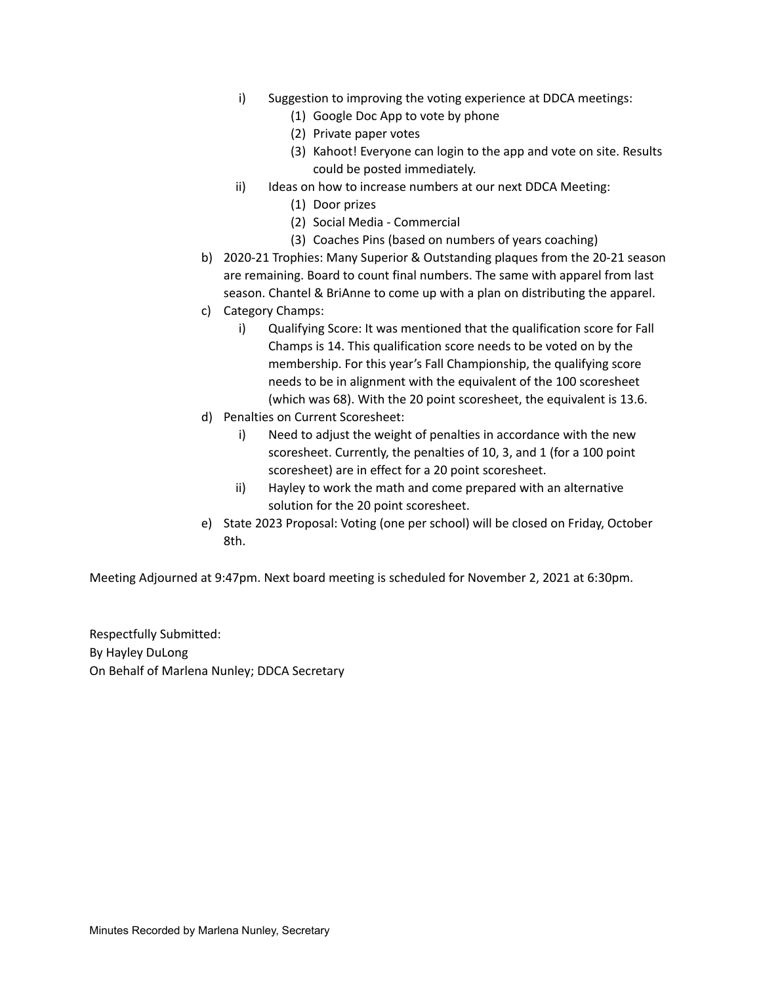- i) Suggestion to improving the voting experience at DDCA meetings:
	- (1) Google Doc App to vote by phone
	- (2) Private paper votes
	- (3) Kahoot! Everyone can login to the app and vote on site. Results could be posted immediately.
- ii) Ideas on how to increase numbers at our next DDCA Meeting:
	- (1) Door prizes
	- (2) Social Media Commercial
	- (3) Coaches Pins (based on numbers of years coaching)
- b) 2020-21 Trophies: Many Superior & Outstanding plaques from the 20-21 season are remaining. Board to count final numbers. The same with apparel from last season. Chantel & BriAnne to come up with a plan on distributing the apparel.
- c) Category Champs:
	- i) Qualifying Score: It was mentioned that the qualification score for Fall Champs is 14. This qualification score needs to be voted on by the membership. For this year's Fall Championship, the qualifying score needs to be in alignment with the equivalent of the 100 scoresheet (which was 68). With the 20 point scoresheet, the equivalent is 13.6.
- d) Penalties on Current Scoresheet:
	- i) Need to adjust the weight of penalties in accordance with the new scoresheet. Currently, the penalties of 10, 3, and 1 (for a 100 point scoresheet) are in effect for a 20 point scoresheet.
	- ii) Hayley to work the math and come prepared with an alternative solution for the 20 point scoresheet.
- e) State 2023 Proposal: Voting (one per school) will be closed on Friday, October 8th.

Meeting Adjourned at 9:47pm. Next board meeting is scheduled for November 2, 2021 at 6:30pm.

Respectfully Submitted: By Hayley DuLong On Behalf of Marlena Nunley; DDCA Secretary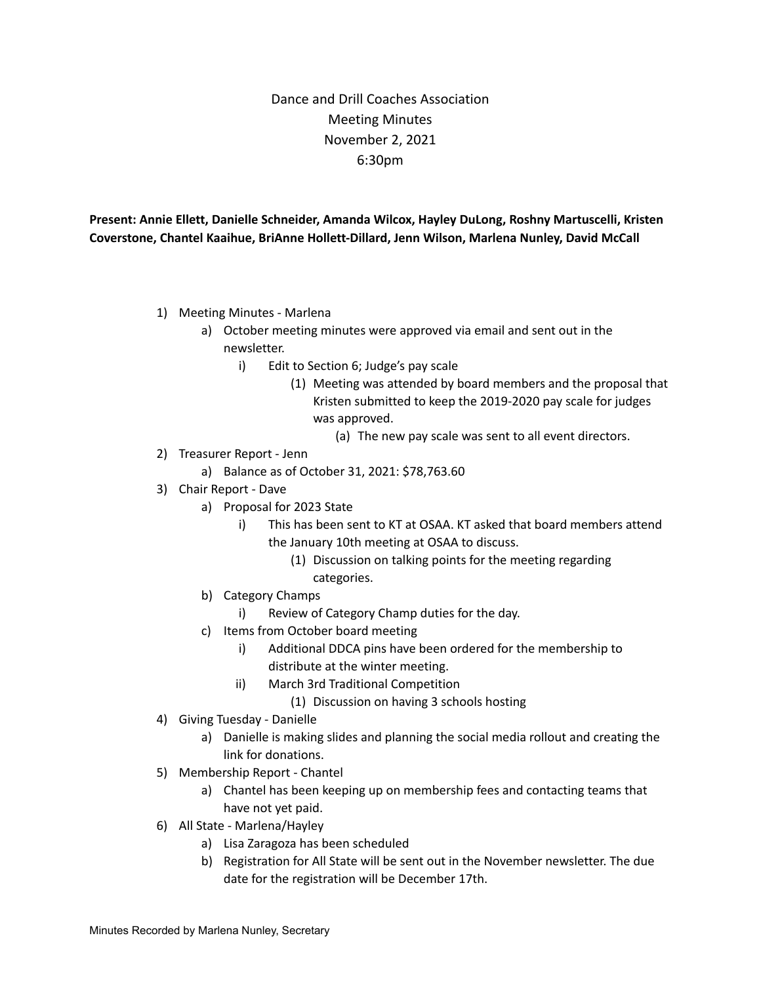# Dance and Drill Coaches Association Meeting Minutes November 2, 2021 6:30pm

**Present: Annie Ellett, Danielle Schneider, Amanda Wilcox, Hayley DuLong, Roshny Martuscelli, Kristen Coverstone, Chantel Kaaihue, BriAnne Hollett-Dillard, Jenn Wilson, Marlena Nunley, David McCall**

- 1) Meeting Minutes Marlena
	- a) October meeting minutes were approved via email and sent out in the newsletter.
		- i) Edit to Section 6; Judge's pay scale
			- (1) Meeting was attended by board members and the proposal that Kristen submitted to keep the 2019-2020 pay scale for judges was approved.
				- (a) The new pay scale was sent to all event directors.
- 2) Treasurer Report Jenn
	- a) Balance as of October 31, 2021: \$78,763.60
- 3) Chair Report Dave
	- a) Proposal for 2023 State
		- i) This has been sent to KT at OSAA. KT asked that board members attend the January 10th meeting at OSAA to discuss.
			- (1) Discussion on talking points for the meeting regarding categories.
	- b) Category Champs
		- i) Review of Category Champ duties for the day.
	- c) Items from October board meeting
		- i) Additional DDCA pins have been ordered for the membership to distribute at the winter meeting.
		- ii) March 3rd Traditional Competition
			- (1) Discussion on having 3 schools hosting
- 4) Giving Tuesday Danielle
	- a) Danielle is making slides and planning the social media rollout and creating the link for donations.
- 5) Membership Report Chantel
	- a) Chantel has been keeping up on membership fees and contacting teams that have not yet paid.
- 6) All State Marlena/Hayley
	- a) Lisa Zaragoza has been scheduled
	- b) Registration for All State will be sent out in the November newsletter. The due date for the registration will be December 17th.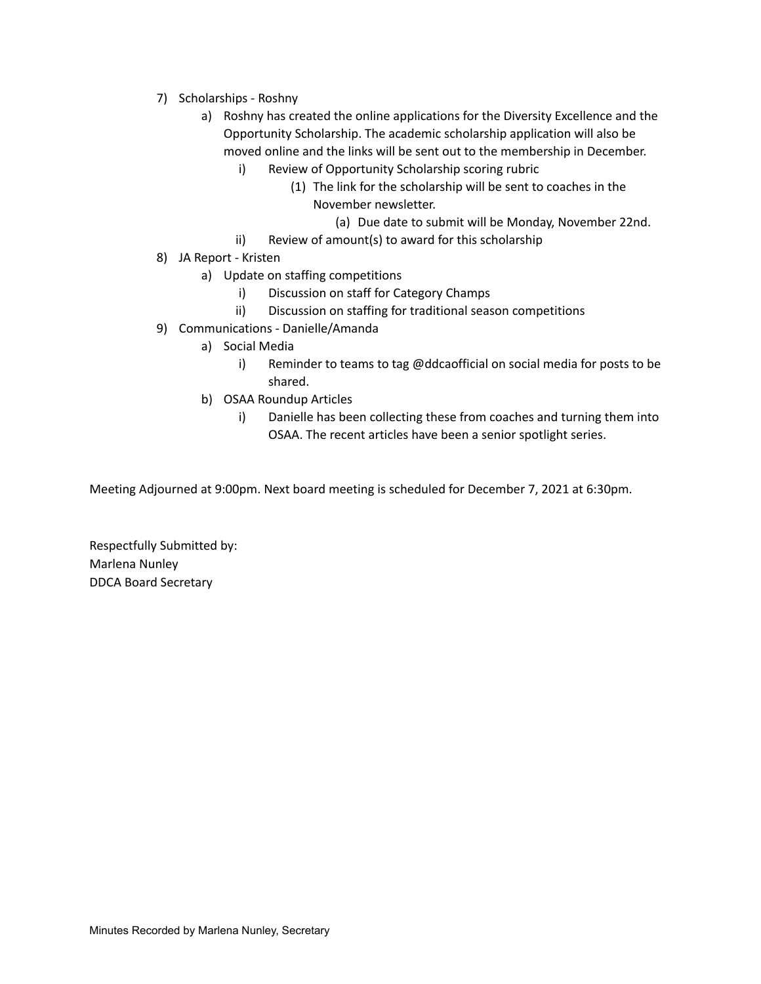- 7) Scholarships Roshny
	- a) Roshny has created the online applications for the Diversity Excellence and the Opportunity Scholarship. The academic scholarship application will also be moved online and the links will be sent out to the membership in December.
		- i) Review of Opportunity Scholarship scoring rubric
			- (1) The link for the scholarship will be sent to coaches in the November newsletter.
				- (a) Due date to submit will be Monday, November 22nd.
		- ii) Review of amount(s) to award for this scholarship
- 8) JA Report Kristen
	- a) Update on staffing competitions
		- i) Discussion on staff for Category Champs
		- ii) Discussion on staffing for traditional season competitions
- 9) Communications Danielle/Amanda
	- a) Social Media
		- i) Reminder to teams to tag @ddcaofficial on social media for posts to be shared.
	- b) OSAA Roundup Articles
		- i) Danielle has been collecting these from coaches and turning them into OSAA. The recent articles have been a senior spotlight series.

Meeting Adjourned at 9:00pm. Next board meeting is scheduled for December 7, 2021 at 6:30pm.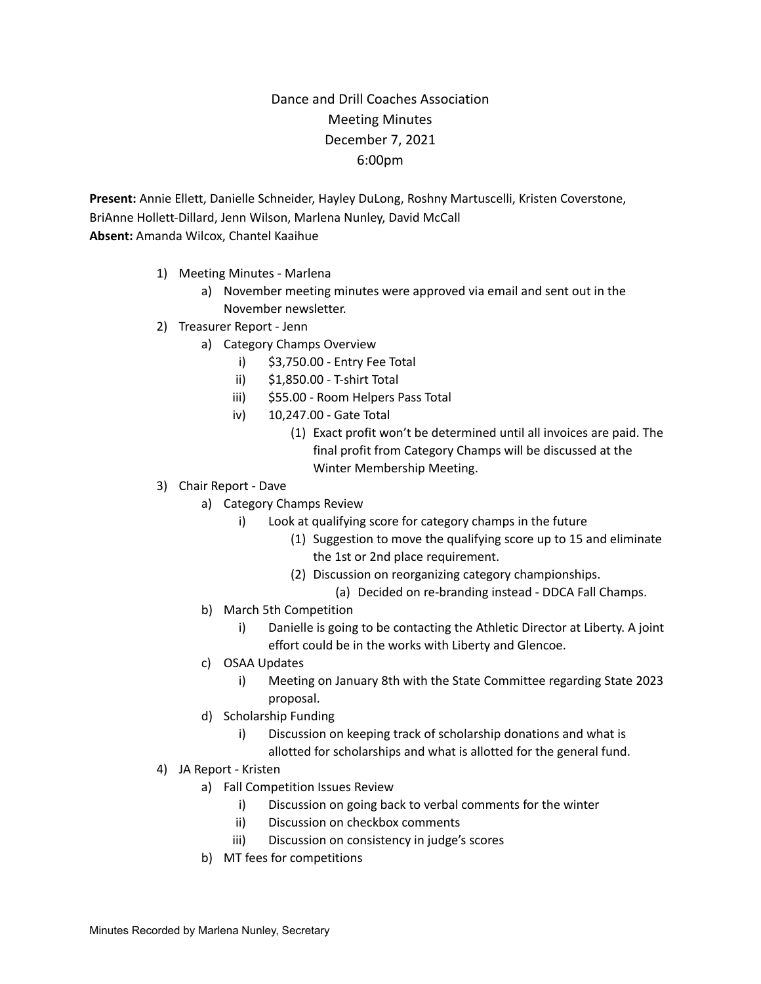# Dance and Drill Coaches Association Meeting Minutes December 7, 2021 6:00pm

**Present:** Annie Ellett, Danielle Schneider, Hayley DuLong, Roshny Martuscelli, Kristen Coverstone, BriAnne Hollett-Dillard, Jenn Wilson, Marlena Nunley, David McCall **Absent:** Amanda Wilcox, Chantel Kaaihue

- 1) Meeting Minutes Marlena
	- a) November meeting minutes were approved via email and sent out in the November newsletter.
- 2) Treasurer Report Jenn
	- a) Category Champs Overview
		- i) \$3,750.00 Entry Fee Total
		- ii) \$1,850.00 T-shirt Total
		- iii) \$55.00 Room Helpers Pass Total
		- iv) 10,247.00 Gate Total
			- (1) Exact profit won't be determined until all invoices are paid. The final profit from Category Champs will be discussed at the Winter Membership Meeting.
- 3) Chair Report Dave
	- a) Category Champs Review
		- i) Look at qualifying score for category champs in the future
			- (1) Suggestion to move the qualifying score up to 15 and eliminate the 1st or 2nd place requirement.
			- (2) Discussion on reorganizing category championships.
				- (a) Decided on re-branding instead DDCA Fall Champs.
	- b) March 5th Competition
		- i) Danielle is going to be contacting the Athletic Director at Liberty. A joint effort could be in the works with Liberty and Glencoe.
	- c) OSAA Updates
		- i) Meeting on January 8th with the State Committee regarding State 2023 proposal.
	- d) Scholarship Funding
		- i) Discussion on keeping track of scholarship donations and what is allotted for scholarships and what is allotted for the general fund.
- 4) JA Report Kristen
	- a) Fall Competition Issues Review
		- i) Discussion on going back to verbal comments for the winter
		- ii) Discussion on checkbox comments
		- iii) Discussion on consistency in judge's scores
	- b) MT fees for competitions